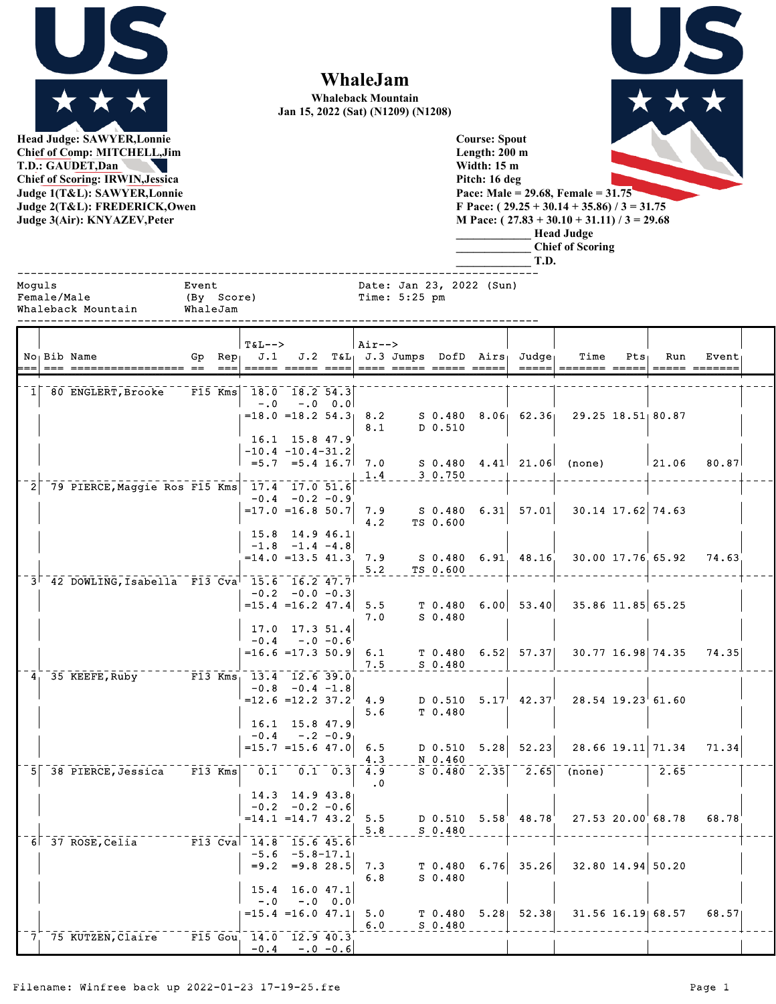

**WhaleJam**

**Whaleback Mountain Jan 15, 2022 (Sat) (N1209) (N1208)**

**M Pace: ( 27.83 + 30.10 + 31.11) / 3 = 29.68 \_\_\_\_\_\_\_\_\_\_\_\_\_ Head Judge \_\_\_\_\_\_\_\_\_\_\_\_\_ Chief of Scoring**

**Head Judge: SAWYER,Lonnie Chief of Comp: MITCHELL,Jim T.D.: GAUDET,Dan Chief of Scoring: IRWIN,Jessica Judge 1(T&L): SAWYER,Lonnie Judge 2(T&L): FREDERICK,Owen Judge 3(Air): KNYAZEV,Peter** 

| <b>Course: Spout</b>                          |  |
|-----------------------------------------------|--|
| Length: 200 m                                 |  |
| Width: 15 m                                   |  |
| Pitch: 16 deg                                 |  |
| Pace: Male = 29.68, Female = $31.75$          |  |
| F Pace: $(29.25 + 30.14 + 35.86)$ / 3 = 31.75 |  |

|        |             |                                                                        |                                 |        |                                                            |                                                 |              |                   |                 |                                 |      | T.D.                                    |                                          |                       |                   |                        |  |
|--------|-------------|------------------------------------------------------------------------|---------------------------------|--------|------------------------------------------------------------|-------------------------------------------------|--------------|-------------------|-----------------|---------------------------------|------|-----------------------------------------|------------------------------------------|-----------------------|-------------------|------------------------|--|
| Moquls | Female/Male | Whaleback Mountain                                                     | Event<br>(By Score)<br>WhaleJam |        |                                                            |                                                 |              |                   | Time: $5:25$ pm | Date: Jan 23, 2022 (Sun)        |      |                                         |                                          |                       |                   |                        |  |
|        |             | No <sub>l</sub> Bib Name                                               |                                 | $== =$ | $T\delta L--$<br>Gp $Rep_1$ J.1                            |                                                 |              | Air-->            |                 |                                 |      | $J.2$ T&L $J.3$ Jumps DofD Airs; Judge; | Time                                     | $Pts_1$               | Run               | Event<br>===== ======= |  |
|        |             | 1 80 ENGLERT, Brooke                                                   | $F15$ Kms                       |        | 18.0 18.2 54.3<br>$-0.0$<br>$=18.0$ $=18.2$ $54.3$ $8.2$   |                                                 | $-.0 \t 0.0$ |                   |                 |                                 |      |                                         | $S$ 0.480 8.06 62.36 29.25 18.51 80.87   |                       |                   |                        |  |
|        |             |                                                                        |                                 |        | $-10.4 - 10.4 - 31.2$                                      | 16.1 15.8 47.9                                  |              | 8.1               |                 | D 0.510                         |      |                                         |                                          |                       |                   |                        |  |
|        |             | 79 PIERCE, Maggie Ros F15 Kms 17.4 17.0 51.6                           |                                 |        |                                                            | $=5.7$ $=5.4$ 16.7 7.0<br>$-0.4 - 0.2 - 0.9$    |              | 1.4               |                 | 3 0.750                         |      |                                         | $S$ 0.480 4.41 21.06 (none)              |                       | 21.06             | 80.87                  |  |
|        |             |                                                                        |                                 |        | $=17.0$ =16.8 50.7                                         | $15.8$ 14.9 46.1                                |              | 7.9<br>4.2        |                 | S 0.480<br>TS 0.600             |      | $6.31 \mid 57.01 \mid$                  |                                          | 30.14 17.62 74.63     |                   |                        |  |
|        |             | $3^{\dagger}$ 42 DOWLING, Isabella F13 Cva <sup> </sup> 15.6 16.2 47.7 |                                 |        | $=14.0$ $=13.5$ $41.3$ 7.9                                 | $-1.8$ $-1.4$ $-4.8$                            |              | 5.2               |                 | TS 0.600                        |      |                                         | S 0.480 6.91 48.16 30.00 17.76 65.92     |                       |                   | 74.63                  |  |
|        |             |                                                                        |                                 |        | $=15.4$ $=16.2$ $47.4$ 5.5                                 | $-0.2 -0.0 -0.3$                                |              | 7.0               |                 | T <sub>0.480</sub><br>$S_0.480$ |      |                                         | $6.00$ 53.40 35.86 11.85 65.25           |                       |                   |                        |  |
|        |             |                                                                        |                                 |        | $=16.6 = 17.3$ 50.9 6.1                                    | 17.0 17.3 51.4<br>$-0.4 - 0.6$                  |              | 7.5               |                 | $S$ 0.480                       |      | $T$ 0.480 6.52 57.37                    |                                          | 30.77 16.98 74.35     |                   | 74.35                  |  |
|        |             | 4 35 KEEFE, Ruby F13 Kms 13.4 12.6 39.0                                |                                 |        | $=12.6$ = 12.2 37.2 4.9                                    | $-0.8$ $-0.4$ $-1.8$                            |              |                   |                 |                                 |      | D $0.510$ $5.17$ $42.37$                | $28.54$ 19.23 61.60                      |                       |                   |                        |  |
|        |             |                                                                        |                                 |        | $-0.4$<br>$=15.7$ = 15.6 47.0                              | $16.1$ 15.8 47.9                                | $-.2 - 0.9$  | 5.6<br>6.5        |                 | T 0.480<br>D 0.510              |      | $5.28$ $52.23$                          |                                          |                       | 28.66 19.11 71.34 | 71.34                  |  |
|        |             | $5$ 38 PIERCE, Jessica $F13$ Kms                                       |                                 |        |                                                            | $\begin{bmatrix} 0.1 & 0.1 & 0.3 \end{bmatrix}$ |              | 4.3<br>4.9<br>. 0 |                 | N 0.460                         |      |                                         | $S$ 0.480 2.35 2.65 (none)               |                       | 2.65              |                        |  |
|        |             |                                                                        |                                 |        | $= 14.1$ $= 14.7$ $43.2$ 5.5                               | 14.3 14.9 43.8<br>$-0.2 -0.2 -0.6$              |              |                   |                 | $S_0.480$                       |      |                                         | D 0.510 $5.58$ 48.78 $27.53$ 20.00 68.78 |                       |                   | 68.78                  |  |
|        |             | 6 37 ROSE, Celia                                                       |                                 |        | $\overline{F13}$ Cva $\overline{14.8}$ 15.6 45.6<br>$-5.6$ | $-5.8 - 17.1$<br>$= 9.2 = 9.828.5$              |              | 5.8<br>7.3        |                 | T 0.480                         | 6.76 | 35.26                                   |                                          | 32.80 14.94 50.20     |                   |                        |  |
|        |             |                                                                        |                                 |        | 15.4<br>$-0.0$                                             | 16.0 47.1                                       | $-.0 \t0.0$  | 6.8               |                 | $S$ 0.480                       |      |                                         |                                          |                       |                   |                        |  |
|        |             | 7 75 KUTZEN, Claire                                                    |                                 |        | $=15.4$ $=16.0$ $47.1$<br>F15 Gou 14.0 12.9 40.3           |                                                 |              | 5.0<br>6.0        |                 | T <sub>0.480</sub><br>$S$ 0.480 |      | $5.28$ $52.38$                          |                                          | $31.56$ $16.19$ 68.57 |                   | 68.57                  |  |
|        |             |                                                                        |                                 |        | $-0.4$                                                     |                                                 | $-.0 - 0.6$  |                   |                 |                                 |      |                                         |                                          |                       |                   |                        |  |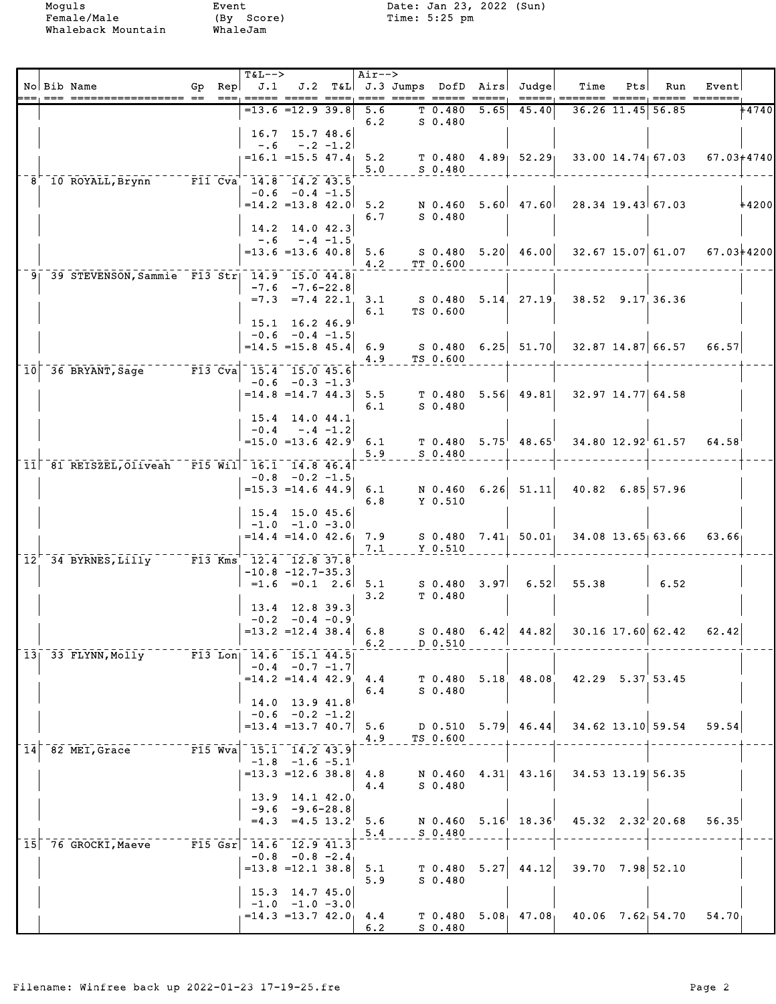| ;==, === ================== ==  ===, ===== ===== ====, ==== ===== =====<br>+4740<br>$=13.6$ $=12.9$ 39.8<br>45.40<br>36.26 11.45 56.85<br>5.6<br>T 0.480<br>5.65<br>6.2<br>$S_0.480$<br>$16.7$ 15.7 48.6<br>$-.2 -1.2$<br>$-0.6$<br>$=16.1$ = 15.5 47.4 5.2<br>$T$ 0.480 4.89 52.29 33.00 14.74 67.03<br>5.0<br>$S$ 0.480<br>$ \overline{F11} \overline{C} \overline{v} \overline{a}$ $\overline{14.8} \overline{0} \overline{14.2} \overline{43.5}$<br>8 10 ROYALL, Brynn<br>$-0.6 -0.4 -1.5$<br>$=14.2$ $=13.8$ $42.0$<br>$5.60$ 47.60 28.34 19.43 67.03<br>5.2<br>N 0.460<br>$S_0.480$<br>6.7<br>14.2 14.0 42.3<br>$-.6 - .4 -1.5$<br>$S$ 0.480 5.20 46.00 32.67 15.07 61.07<br>$= 13.6$ = 13.6 40.8 5.6<br>4.2<br>TT 0.600<br>9 39 STEVENSON, Sammie F13 Str   14.9 15.0 44.8<br>$-7.6 - 7.6 - 22.8$<br>38.52 9.17 36.36<br>$=7.3$ $=7.4$ 22.1<br>S 0.480 5.14 27.19<br>3.1<br>TS 0.600<br>6.1<br>15.1 16.2 46.9<br>$-0.6 -0.4 -1.5$<br>$= 14.5 = 15.8 45.4$ 6.9<br>S 0.480    6.25    51.70    32.87    14.87    66.57<br>66.57<br>4.9<br>TS 0.600<br>10 36 BRYANT, Sage F13 Cva 15.4 15.0 45.6<br>$-0.6 - 0.3 - 1.3$<br>$T$ 0.480 5.56 49.81 32.97 14.77 64.58<br>$= 14.8$ $= 14.7$ $44.3$ 5.5<br>$S$ 0.480<br>6.1<br>15.4 14.0 44.1<br>$-0.4$<br>$-.4 -1.2$<br>$T$ 0.480 5.75 48.65 34.80 12.92 61.57 64.58<br>$=15.0$ $=13.6$ $42.9$ 6.1<br>$S$ 0.480<br>5.9<br>11 81 REISZEL, Oliveah F15 Wil 16.1 14.8 46.4<br>$-0.8$ $-0.2$ $-1.5$<br>N 0.460 6.26 51.11 40.82 6.85 57.96<br>$=15.3$ =14.6 44.9 6.1<br>$Y$ 0.510<br>6.8<br>15.4 15.0 45.6<br>$-1.0$ $-1.0$ $-3.0$<br>$S$ 0.480 7.41 50.01<br>$= 14.4$ $= 14.0$ $42.6$ 7.9<br>34.08 13.65 63.66<br>63.66<br>7.1<br>$Y$ 0.510<br>$12^{-7}$ 34 BYRNES, Lilly F13 Kms 12.4 12.8 37.8<br>$-10.8 -12.7 - 35.3$<br>$3.97$ 6.52 55.38<br>$=1.6$ $=0.1$ 2.6 5.1<br>S 0.480<br>$\begin{array}{cc} 6.52 \end{array}$<br>T <sub>0.480</sub><br>3.2<br>13.4 12.8 39.3<br>$-0.2 -0.4 -0.9$<br>$S$ 0.480 6.42 44.82 30.16 17.60 62.42<br>$=13.2$ =12.4 38.4 6.8<br>62.42<br>$\begin{array}{cc} 6.2 \end{array}$<br>D 0.510<br>13 33 FLYNN, Molly F13 Lon   14.6 15.1 44.5<br>$-0.4 - 0.7 - 1.7$<br>$T$ 0.480 5.18 48.08<br>$= 14.2$ $= 14.4$ $42.9$ $4.4$<br>42.29 5.37 53.45<br>$S$ 0.480<br>6.4<br>14.0 13.9 41.8<br>$-0.6$ $-0.2$ $-1.2$<br>$5.79$ 46.44<br>$34.62$ 13.10 59.54 59.54<br>$=13.4$ $=13.7$ 40.7<br>5.6<br>D 0.510<br>4.9<br>TS 0.600<br>F15 Wva 15.1 14.2 43.9<br>$14$ 82 MEI, Grace<br>$-1.8$ $-1.6$ $-5.1$<br>$= 13.3 = 12.6$ 38.8 4.8<br>$4.31$ $43.16$<br>34.53 13.19 56.35<br>N 0.460<br>$S$ 0.480<br>4.4<br>13.9 14.1 42.0<br>$-9.6 - 9.6 - 28.8$<br>$=4.3$ $=4.5$ $13.2$ 5.6<br>N 0.460 5.16 18.36<br>$45.32 \quad 2.32^{\dagger} 20.68 \quad 56.35$<br>$S$ 0.480<br>5.4<br>$F15 Gsr$ 14.6 12.9 41.3<br>15 76 GROCKI, Maeve<br>$-0.8$ $-0.8$ $-2.4$<br>$5.27$ 44.12 39.70 7.98 52.10<br>$=13.8$ $=12.1$ $38.8$ 5.1<br>T 0.480<br>5.9<br>$S_0.480$<br>$15.3$ 14.7 45.0<br>$-1.0$ $-1.0$ $-3.0$<br>$= 14.3 = 13.7 42.0$ 4.4<br>$T$ 0.480 5.08 47.08 40.06 7.62 54.70 54.70<br>6.2<br>S 0.480 |  | No Bib Name | Gp $\Rees$ $J.1$ | <b>T&amp;L--&gt;</b> |  | Air--> |  | J.2 T&L J.3 Jumps DofD Airs Judge | Time | Pts | Run | Event |  |
|----------------------------------------------------------------------------------------------------------------------------------------------------------------------------------------------------------------------------------------------------------------------------------------------------------------------------------------------------------------------------------------------------------------------------------------------------------------------------------------------------------------------------------------------------------------------------------------------------------------------------------------------------------------------------------------------------------------------------------------------------------------------------------------------------------------------------------------------------------------------------------------------------------------------------------------------------------------------------------------------------------------------------------------------------------------------------------------------------------------------------------------------------------------------------------------------------------------------------------------------------------------------------------------------------------------------------------------------------------------------------------------------------------------------------------------------------------------------------------------------------------------------------------------------------------------------------------------------------------------------------------------------------------------------------------------------------------------------------------------------------------------------------------------------------------------------------------------------------------------------------------------------------------------------------------------------------------------------------------------------------------------------------------------------------------------------------------------------------------------------------------------------------------------------------------------------------------------------------------------------------------------------------------------------------------------------------------------------------------------------------------------------------------------------------------------------------------------------------------------------------------------------------------------------------------------------------------------------------------------------------------------------------------------------------------------------------------------------------------------------------------------------------------------------------------------------------------------------------------------------------------------------------------------------------------------------------------------------------------------------------------------------------------------------------------------|--|-------------|------------------|----------------------|--|--------|--|-----------------------------------|------|-----|-----|-------|--|
|                                                                                                                                                                                                                                                                                                                                                                                                                                                                                                                                                                                                                                                                                                                                                                                                                                                                                                                                                                                                                                                                                                                                                                                                                                                                                                                                                                                                                                                                                                                                                                                                                                                                                                                                                                                                                                                                                                                                                                                                                                                                                                                                                                                                                                                                                                                                                                                                                                                                                                                                                                                                                                                                                                                                                                                                                                                                                                                                                                                                                                                                |  |             |                  |                      |  |        |  |                                   |      |     |     |       |  |
| 67.03+4740<br>$+4200$<br>67.03+4200                                                                                                                                                                                                                                                                                                                                                                                                                                                                                                                                                                                                                                                                                                                                                                                                                                                                                                                                                                                                                                                                                                                                                                                                                                                                                                                                                                                                                                                                                                                                                                                                                                                                                                                                                                                                                                                                                                                                                                                                                                                                                                                                                                                                                                                                                                                                                                                                                                                                                                                                                                                                                                                                                                                                                                                                                                                                                                                                                                                                                            |  |             |                  |                      |  |        |  |                                   |      |     |     |       |  |
|                                                                                                                                                                                                                                                                                                                                                                                                                                                                                                                                                                                                                                                                                                                                                                                                                                                                                                                                                                                                                                                                                                                                                                                                                                                                                                                                                                                                                                                                                                                                                                                                                                                                                                                                                                                                                                                                                                                                                                                                                                                                                                                                                                                                                                                                                                                                                                                                                                                                                                                                                                                                                                                                                                                                                                                                                                                                                                                                                                                                                                                                |  |             |                  |                      |  |        |  |                                   |      |     |     |       |  |
|                                                                                                                                                                                                                                                                                                                                                                                                                                                                                                                                                                                                                                                                                                                                                                                                                                                                                                                                                                                                                                                                                                                                                                                                                                                                                                                                                                                                                                                                                                                                                                                                                                                                                                                                                                                                                                                                                                                                                                                                                                                                                                                                                                                                                                                                                                                                                                                                                                                                                                                                                                                                                                                                                                                                                                                                                                                                                                                                                                                                                                                                |  |             |                  |                      |  |        |  |                                   |      |     |     |       |  |
|                                                                                                                                                                                                                                                                                                                                                                                                                                                                                                                                                                                                                                                                                                                                                                                                                                                                                                                                                                                                                                                                                                                                                                                                                                                                                                                                                                                                                                                                                                                                                                                                                                                                                                                                                                                                                                                                                                                                                                                                                                                                                                                                                                                                                                                                                                                                                                                                                                                                                                                                                                                                                                                                                                                                                                                                                                                                                                                                                                                                                                                                |  |             |                  |                      |  |        |  |                                   |      |     |     |       |  |
|                                                                                                                                                                                                                                                                                                                                                                                                                                                                                                                                                                                                                                                                                                                                                                                                                                                                                                                                                                                                                                                                                                                                                                                                                                                                                                                                                                                                                                                                                                                                                                                                                                                                                                                                                                                                                                                                                                                                                                                                                                                                                                                                                                                                                                                                                                                                                                                                                                                                                                                                                                                                                                                                                                                                                                                                                                                                                                                                                                                                                                                                |  |             |                  |                      |  |        |  |                                   |      |     |     |       |  |
|                                                                                                                                                                                                                                                                                                                                                                                                                                                                                                                                                                                                                                                                                                                                                                                                                                                                                                                                                                                                                                                                                                                                                                                                                                                                                                                                                                                                                                                                                                                                                                                                                                                                                                                                                                                                                                                                                                                                                                                                                                                                                                                                                                                                                                                                                                                                                                                                                                                                                                                                                                                                                                                                                                                                                                                                                                                                                                                                                                                                                                                                |  |             |                  |                      |  |        |  |                                   |      |     |     |       |  |
|                                                                                                                                                                                                                                                                                                                                                                                                                                                                                                                                                                                                                                                                                                                                                                                                                                                                                                                                                                                                                                                                                                                                                                                                                                                                                                                                                                                                                                                                                                                                                                                                                                                                                                                                                                                                                                                                                                                                                                                                                                                                                                                                                                                                                                                                                                                                                                                                                                                                                                                                                                                                                                                                                                                                                                                                                                                                                                                                                                                                                                                                |  |             |                  |                      |  |        |  |                                   |      |     |     |       |  |
|                                                                                                                                                                                                                                                                                                                                                                                                                                                                                                                                                                                                                                                                                                                                                                                                                                                                                                                                                                                                                                                                                                                                                                                                                                                                                                                                                                                                                                                                                                                                                                                                                                                                                                                                                                                                                                                                                                                                                                                                                                                                                                                                                                                                                                                                                                                                                                                                                                                                                                                                                                                                                                                                                                                                                                                                                                                                                                                                                                                                                                                                |  |             |                  |                      |  |        |  |                                   |      |     |     |       |  |
|                                                                                                                                                                                                                                                                                                                                                                                                                                                                                                                                                                                                                                                                                                                                                                                                                                                                                                                                                                                                                                                                                                                                                                                                                                                                                                                                                                                                                                                                                                                                                                                                                                                                                                                                                                                                                                                                                                                                                                                                                                                                                                                                                                                                                                                                                                                                                                                                                                                                                                                                                                                                                                                                                                                                                                                                                                                                                                                                                                                                                                                                |  |             |                  |                      |  |        |  |                                   |      |     |     |       |  |
|                                                                                                                                                                                                                                                                                                                                                                                                                                                                                                                                                                                                                                                                                                                                                                                                                                                                                                                                                                                                                                                                                                                                                                                                                                                                                                                                                                                                                                                                                                                                                                                                                                                                                                                                                                                                                                                                                                                                                                                                                                                                                                                                                                                                                                                                                                                                                                                                                                                                                                                                                                                                                                                                                                                                                                                                                                                                                                                                                                                                                                                                |  |             |                  |                      |  |        |  |                                   |      |     |     |       |  |
|                                                                                                                                                                                                                                                                                                                                                                                                                                                                                                                                                                                                                                                                                                                                                                                                                                                                                                                                                                                                                                                                                                                                                                                                                                                                                                                                                                                                                                                                                                                                                                                                                                                                                                                                                                                                                                                                                                                                                                                                                                                                                                                                                                                                                                                                                                                                                                                                                                                                                                                                                                                                                                                                                                                                                                                                                                                                                                                                                                                                                                                                |  |             |                  |                      |  |        |  |                                   |      |     |     |       |  |
|                                                                                                                                                                                                                                                                                                                                                                                                                                                                                                                                                                                                                                                                                                                                                                                                                                                                                                                                                                                                                                                                                                                                                                                                                                                                                                                                                                                                                                                                                                                                                                                                                                                                                                                                                                                                                                                                                                                                                                                                                                                                                                                                                                                                                                                                                                                                                                                                                                                                                                                                                                                                                                                                                                                                                                                                                                                                                                                                                                                                                                                                |  |             |                  |                      |  |        |  |                                   |      |     |     |       |  |
|                                                                                                                                                                                                                                                                                                                                                                                                                                                                                                                                                                                                                                                                                                                                                                                                                                                                                                                                                                                                                                                                                                                                                                                                                                                                                                                                                                                                                                                                                                                                                                                                                                                                                                                                                                                                                                                                                                                                                                                                                                                                                                                                                                                                                                                                                                                                                                                                                                                                                                                                                                                                                                                                                                                                                                                                                                                                                                                                                                                                                                                                |  |             |                  |                      |  |        |  |                                   |      |     |     |       |  |
|                                                                                                                                                                                                                                                                                                                                                                                                                                                                                                                                                                                                                                                                                                                                                                                                                                                                                                                                                                                                                                                                                                                                                                                                                                                                                                                                                                                                                                                                                                                                                                                                                                                                                                                                                                                                                                                                                                                                                                                                                                                                                                                                                                                                                                                                                                                                                                                                                                                                                                                                                                                                                                                                                                                                                                                                                                                                                                                                                                                                                                                                |  |             |                  |                      |  |        |  |                                   |      |     |     |       |  |
|                                                                                                                                                                                                                                                                                                                                                                                                                                                                                                                                                                                                                                                                                                                                                                                                                                                                                                                                                                                                                                                                                                                                                                                                                                                                                                                                                                                                                                                                                                                                                                                                                                                                                                                                                                                                                                                                                                                                                                                                                                                                                                                                                                                                                                                                                                                                                                                                                                                                                                                                                                                                                                                                                                                                                                                                                                                                                                                                                                                                                                                                |  |             |                  |                      |  |        |  |                                   |      |     |     |       |  |
|                                                                                                                                                                                                                                                                                                                                                                                                                                                                                                                                                                                                                                                                                                                                                                                                                                                                                                                                                                                                                                                                                                                                                                                                                                                                                                                                                                                                                                                                                                                                                                                                                                                                                                                                                                                                                                                                                                                                                                                                                                                                                                                                                                                                                                                                                                                                                                                                                                                                                                                                                                                                                                                                                                                                                                                                                                                                                                                                                                                                                                                                |  |             |                  |                      |  |        |  |                                   |      |     |     |       |  |
|                                                                                                                                                                                                                                                                                                                                                                                                                                                                                                                                                                                                                                                                                                                                                                                                                                                                                                                                                                                                                                                                                                                                                                                                                                                                                                                                                                                                                                                                                                                                                                                                                                                                                                                                                                                                                                                                                                                                                                                                                                                                                                                                                                                                                                                                                                                                                                                                                                                                                                                                                                                                                                                                                                                                                                                                                                                                                                                                                                                                                                                                |  |             |                  |                      |  |        |  |                                   |      |     |     |       |  |
|                                                                                                                                                                                                                                                                                                                                                                                                                                                                                                                                                                                                                                                                                                                                                                                                                                                                                                                                                                                                                                                                                                                                                                                                                                                                                                                                                                                                                                                                                                                                                                                                                                                                                                                                                                                                                                                                                                                                                                                                                                                                                                                                                                                                                                                                                                                                                                                                                                                                                                                                                                                                                                                                                                                                                                                                                                                                                                                                                                                                                                                                |  |             |                  |                      |  |        |  |                                   |      |     |     |       |  |
|                                                                                                                                                                                                                                                                                                                                                                                                                                                                                                                                                                                                                                                                                                                                                                                                                                                                                                                                                                                                                                                                                                                                                                                                                                                                                                                                                                                                                                                                                                                                                                                                                                                                                                                                                                                                                                                                                                                                                                                                                                                                                                                                                                                                                                                                                                                                                                                                                                                                                                                                                                                                                                                                                                                                                                                                                                                                                                                                                                                                                                                                |  |             |                  |                      |  |        |  |                                   |      |     |     |       |  |
|                                                                                                                                                                                                                                                                                                                                                                                                                                                                                                                                                                                                                                                                                                                                                                                                                                                                                                                                                                                                                                                                                                                                                                                                                                                                                                                                                                                                                                                                                                                                                                                                                                                                                                                                                                                                                                                                                                                                                                                                                                                                                                                                                                                                                                                                                                                                                                                                                                                                                                                                                                                                                                                                                                                                                                                                                                                                                                                                                                                                                                                                |  |             |                  |                      |  |        |  |                                   |      |     |     |       |  |
|                                                                                                                                                                                                                                                                                                                                                                                                                                                                                                                                                                                                                                                                                                                                                                                                                                                                                                                                                                                                                                                                                                                                                                                                                                                                                                                                                                                                                                                                                                                                                                                                                                                                                                                                                                                                                                                                                                                                                                                                                                                                                                                                                                                                                                                                                                                                                                                                                                                                                                                                                                                                                                                                                                                                                                                                                                                                                                                                                                                                                                                                |  |             |                  |                      |  |        |  |                                   |      |     |     |       |  |
|                                                                                                                                                                                                                                                                                                                                                                                                                                                                                                                                                                                                                                                                                                                                                                                                                                                                                                                                                                                                                                                                                                                                                                                                                                                                                                                                                                                                                                                                                                                                                                                                                                                                                                                                                                                                                                                                                                                                                                                                                                                                                                                                                                                                                                                                                                                                                                                                                                                                                                                                                                                                                                                                                                                                                                                                                                                                                                                                                                                                                                                                |  |             |                  |                      |  |        |  |                                   |      |     |     |       |  |
|                                                                                                                                                                                                                                                                                                                                                                                                                                                                                                                                                                                                                                                                                                                                                                                                                                                                                                                                                                                                                                                                                                                                                                                                                                                                                                                                                                                                                                                                                                                                                                                                                                                                                                                                                                                                                                                                                                                                                                                                                                                                                                                                                                                                                                                                                                                                                                                                                                                                                                                                                                                                                                                                                                                                                                                                                                                                                                                                                                                                                                                                |  |             |                  |                      |  |        |  |                                   |      |     |     |       |  |
|                                                                                                                                                                                                                                                                                                                                                                                                                                                                                                                                                                                                                                                                                                                                                                                                                                                                                                                                                                                                                                                                                                                                                                                                                                                                                                                                                                                                                                                                                                                                                                                                                                                                                                                                                                                                                                                                                                                                                                                                                                                                                                                                                                                                                                                                                                                                                                                                                                                                                                                                                                                                                                                                                                                                                                                                                                                                                                                                                                                                                                                                |  |             |                  |                      |  |        |  |                                   |      |     |     |       |  |
|                                                                                                                                                                                                                                                                                                                                                                                                                                                                                                                                                                                                                                                                                                                                                                                                                                                                                                                                                                                                                                                                                                                                                                                                                                                                                                                                                                                                                                                                                                                                                                                                                                                                                                                                                                                                                                                                                                                                                                                                                                                                                                                                                                                                                                                                                                                                                                                                                                                                                                                                                                                                                                                                                                                                                                                                                                                                                                                                                                                                                                                                |  |             |                  |                      |  |        |  |                                   |      |     |     |       |  |
|                                                                                                                                                                                                                                                                                                                                                                                                                                                                                                                                                                                                                                                                                                                                                                                                                                                                                                                                                                                                                                                                                                                                                                                                                                                                                                                                                                                                                                                                                                                                                                                                                                                                                                                                                                                                                                                                                                                                                                                                                                                                                                                                                                                                                                                                                                                                                                                                                                                                                                                                                                                                                                                                                                                                                                                                                                                                                                                                                                                                                                                                |  |             |                  |                      |  |        |  |                                   |      |     |     |       |  |
|                                                                                                                                                                                                                                                                                                                                                                                                                                                                                                                                                                                                                                                                                                                                                                                                                                                                                                                                                                                                                                                                                                                                                                                                                                                                                                                                                                                                                                                                                                                                                                                                                                                                                                                                                                                                                                                                                                                                                                                                                                                                                                                                                                                                                                                                                                                                                                                                                                                                                                                                                                                                                                                                                                                                                                                                                                                                                                                                                                                                                                                                |  |             |                  |                      |  |        |  |                                   |      |     |     |       |  |
|                                                                                                                                                                                                                                                                                                                                                                                                                                                                                                                                                                                                                                                                                                                                                                                                                                                                                                                                                                                                                                                                                                                                                                                                                                                                                                                                                                                                                                                                                                                                                                                                                                                                                                                                                                                                                                                                                                                                                                                                                                                                                                                                                                                                                                                                                                                                                                                                                                                                                                                                                                                                                                                                                                                                                                                                                                                                                                                                                                                                                                                                |  |             |                  |                      |  |        |  |                                   |      |     |     |       |  |
|                                                                                                                                                                                                                                                                                                                                                                                                                                                                                                                                                                                                                                                                                                                                                                                                                                                                                                                                                                                                                                                                                                                                                                                                                                                                                                                                                                                                                                                                                                                                                                                                                                                                                                                                                                                                                                                                                                                                                                                                                                                                                                                                                                                                                                                                                                                                                                                                                                                                                                                                                                                                                                                                                                                                                                                                                                                                                                                                                                                                                                                                |  |             |                  |                      |  |        |  |                                   |      |     |     |       |  |
|                                                                                                                                                                                                                                                                                                                                                                                                                                                                                                                                                                                                                                                                                                                                                                                                                                                                                                                                                                                                                                                                                                                                                                                                                                                                                                                                                                                                                                                                                                                                                                                                                                                                                                                                                                                                                                                                                                                                                                                                                                                                                                                                                                                                                                                                                                                                                                                                                                                                                                                                                                                                                                                                                                                                                                                                                                                                                                                                                                                                                                                                |  |             |                  |                      |  |        |  |                                   |      |     |     |       |  |
|                                                                                                                                                                                                                                                                                                                                                                                                                                                                                                                                                                                                                                                                                                                                                                                                                                                                                                                                                                                                                                                                                                                                                                                                                                                                                                                                                                                                                                                                                                                                                                                                                                                                                                                                                                                                                                                                                                                                                                                                                                                                                                                                                                                                                                                                                                                                                                                                                                                                                                                                                                                                                                                                                                                                                                                                                                                                                                                                                                                                                                                                |  |             |                  |                      |  |        |  |                                   |      |     |     |       |  |
|                                                                                                                                                                                                                                                                                                                                                                                                                                                                                                                                                                                                                                                                                                                                                                                                                                                                                                                                                                                                                                                                                                                                                                                                                                                                                                                                                                                                                                                                                                                                                                                                                                                                                                                                                                                                                                                                                                                                                                                                                                                                                                                                                                                                                                                                                                                                                                                                                                                                                                                                                                                                                                                                                                                                                                                                                                                                                                                                                                                                                                                                |  |             |                  |                      |  |        |  |                                   |      |     |     |       |  |
|                                                                                                                                                                                                                                                                                                                                                                                                                                                                                                                                                                                                                                                                                                                                                                                                                                                                                                                                                                                                                                                                                                                                                                                                                                                                                                                                                                                                                                                                                                                                                                                                                                                                                                                                                                                                                                                                                                                                                                                                                                                                                                                                                                                                                                                                                                                                                                                                                                                                                                                                                                                                                                                                                                                                                                                                                                                                                                                                                                                                                                                                |  |             |                  |                      |  |        |  |                                   |      |     |     |       |  |
|                                                                                                                                                                                                                                                                                                                                                                                                                                                                                                                                                                                                                                                                                                                                                                                                                                                                                                                                                                                                                                                                                                                                                                                                                                                                                                                                                                                                                                                                                                                                                                                                                                                                                                                                                                                                                                                                                                                                                                                                                                                                                                                                                                                                                                                                                                                                                                                                                                                                                                                                                                                                                                                                                                                                                                                                                                                                                                                                                                                                                                                                |  |             |                  |                      |  |        |  |                                   |      |     |     |       |  |
|                                                                                                                                                                                                                                                                                                                                                                                                                                                                                                                                                                                                                                                                                                                                                                                                                                                                                                                                                                                                                                                                                                                                                                                                                                                                                                                                                                                                                                                                                                                                                                                                                                                                                                                                                                                                                                                                                                                                                                                                                                                                                                                                                                                                                                                                                                                                                                                                                                                                                                                                                                                                                                                                                                                                                                                                                                                                                                                                                                                                                                                                |  |             |                  |                      |  |        |  |                                   |      |     |     |       |  |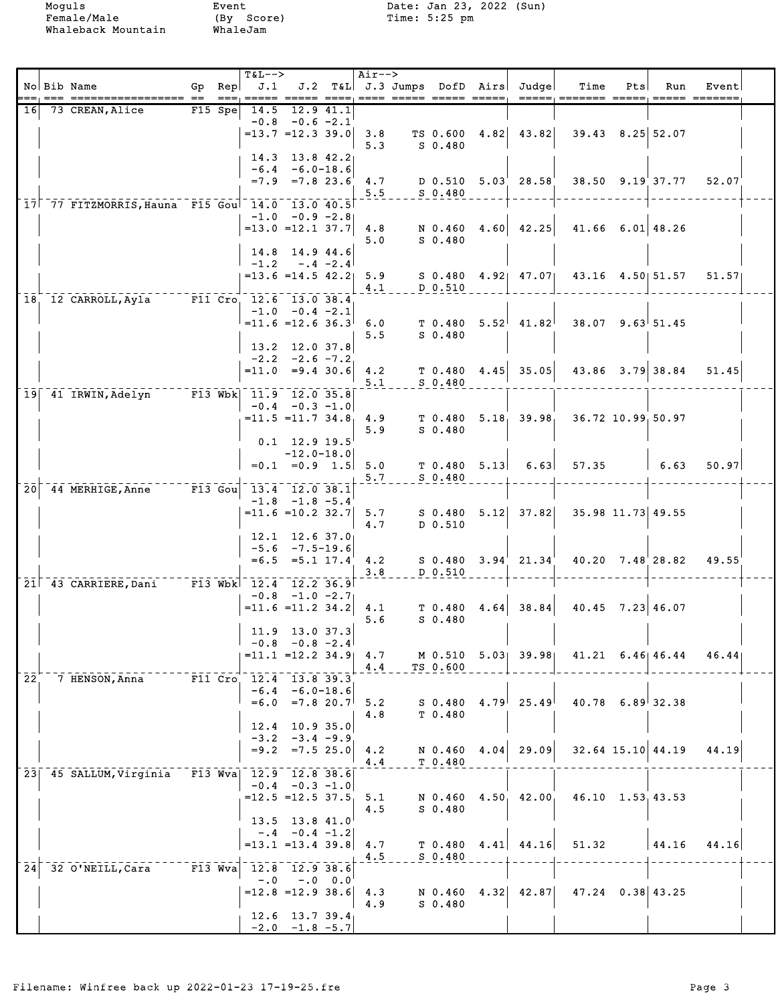|                 | No Bib Name<br>============== ==               | $Gp$ Rep<br>===                    | <b>T&amp;L--&gt;</b><br>J.1              |                                                                      |           | Air-->     | ==== ===== ===== =====;         |      | J.2 T&L J.3 Jumps DofD Airs Judge | Time<br>-----, ------ -----, ----- ---- <b>-</b> | Pts | Run                                  | Event |  |
|-----------------|------------------------------------------------|------------------------------------|------------------------------------------|----------------------------------------------------------------------|-----------|------------|---------------------------------|------|-----------------------------------|--------------------------------------------------|-----|--------------------------------------|-------|--|
| <b>16</b>       | 73 CREAN, Alice                                | $F15$ Spe                          | 14.5                                     | $-0.8$ $-0.6$ $-2.1$<br>$=13.7$ $=12.3$ 39.0                         | 12.9 41.1 | 3.8<br>5.3 | S 0.480                         |      | TS $0.600 \quad 4.82$   $43.82$   | $39.43$ $8.25$ 52.07                             |     |                                      |       |  |
|                 |                                                |                                    |                                          | 14.3 13.8 42.2<br>$-6.4 - 6.0 - 18.6$<br>$=7.9$ $=7.8$ 23.6          |           | 4.7<br>5.5 | $S$ 0.480                       |      | $D$ 0.510 5.03 28.58              |                                                  |     | 38.50 9.19 37.77                     | 52.07 |  |
|                 | 17 77 FITZMORRIS, Hauna F15 Gou 14.0 13.0 40.5 |                                    |                                          | $-1.0 -0.9 -2.8$<br>$=13.0$ $=12.1$ 37.7                             |           | 4.8<br>5.0 | $S_0.480$                       |      | N $0.460$ 4.60 42.25              | $41.66$ 6.01 48.26                               |     |                                      |       |  |
|                 | 18, 12 CARROLL, Ayla F11 Cro, 12.6 13.0 38.4   |                                    | $-1.2$                                   | 14.8 14.9 44.6<br>$-.4 -2.4$<br>$= 13.6 = 14.5 42.2$                 |           | 5.9<br>4.1 | D 0.510                         |      |                                   | S 0.480 4.92 47.07 43.16 4.50 51.57              |     |                                      | 51.57 |  |
|                 |                                                |                                    |                                          | $-1.0 -0.4 -2.1$<br>$= 11.6 = 12.636.3$<br>13.2 12.0 37.8            |           | 6.0<br>5.5 | T <sub>0.480</sub><br>$S_0.480$ |      | $5.52^{1}$ 41.82                  |                                                  |     | $38.07$ 9.63 51.45                   |       |  |
|                 |                                                |                                    |                                          | $-2.2 -2.6 -7.2$<br>$= 11.0 = 9.4 30.6$                              |           | 4.2<br>5.1 | $S$ 0.480                       |      | $T$ 0.480 4.45 35.05              | 43.86 3.79 38.84                                 |     |                                      | 51.45 |  |
|                 | 19 41 IRWIN, Adelyn                            |                                    | $ \overline{F13}$ Wbk $11.9$ $12.0$ 35.8 | $-0.4 - 0.3 - 1.0$<br>$= 11.5 = 11.7$ 34.8, 4.9<br>$0.1$ 12.9 19.5   |           | 5.9        | $S$ 0.480                       |      |                                   | $T$ 0.480 5.18 39.98 36.72 10.99 50.97           |     |                                      |       |  |
|                 |                                                |                                    |                                          | $-12.0 - 18.0$<br>$=0.1$ $=0.9$ 1.5 5.0                              |           | 5.7        | $S_0.480$                       |      |                                   | $T$ 0.480 5.13 6.63 57.35                        |     | $\begin{array}{cc} 6.63 \end{array}$ | 50.97 |  |
| 20 <sub>1</sub> | 44 MERHIGE, Anne F13 Gou 13.4 12.0 38.1        |                                    |                                          | $-1.8$ $-1.8$ $-5.4$<br>$= 11.6 = 10.2 32.7$ 5.7                     |           | 4.7        | D 0.510                         |      |                                   | $S$ 0.480 5.12 37.82 35.98 11.73 49.55           |     |                                      |       |  |
|                 | 21 43 CARRIERE, Dani F13 Wbk 12.4 12.2 36.9    |                                    |                                          | $12.1$ $12.6$ $37.0$<br>$-5.6 -7.5 - 19.6$<br>$=6.5$ $=5.1$ 17.4 4.2 |           | 3.8        | D 0.510                         |      | $S$ 0.480 3.94 21.34              | 40.20 7.48 28.82                                 |     |                                      | 49.55 |  |
|                 |                                                |                                    | $= 11.6 = 11.2$ 34.2 4.1                 | $-0.8$ $-1.0$ $-2.7$<br>11.9 13.0 37.3                               |           | 5.6        | T <sub>0.480</sub><br>$S$ 0.480 |      | $4.64$ 38.84                      | $40.45$ 7.23 46.07                               |     |                                      |       |  |
|                 |                                                |                                    |                                          | $-0.8$ $-0.8$ $-2.4$<br>$= 11.1$ $= 12.2$ $34.9$ $4.7$               |           | 4.4        | TS 0.600                        |      |                                   | M 0.510 5.03 39.98 41.21 6.46 46.44              |     |                                      | 46.44 |  |
| 22 <sup>2</sup> | 7 HENSON, Anna                                 |                                    | $-F11$ Cro $12.4$ $13.8$ 39.3            | $-6.4 - 6.0 - 18.6$<br>$=6.0$ $=7.8$ 20.7<br>12.4 10.9 35.0          |           | 5.2<br>4.8 | $S$ 0.480<br>T 0.480            |      | $4.79$ $25.49$                    | $40.78$ 6.89 32.38                               |     |                                      |       |  |
|                 |                                                |                                    |                                          | $-3.2 -3.4 -9.9$<br>$= 9.2 = 7.5 25.0$                               |           | 4.2<br>4.4 | N 0.460<br>T 0.480              | 4.04 | 29.09                             |                                                  |     | $32.64$ 15.10 44.19                  | 44.19 |  |
|                 | 23 45 SALLUM, Virginia                         |                                    | F13 Wva  12.9  12.8  38.6                | $-0.4 - 0.3 - 1.0$<br>$=12.5$ $=12.5$ 37.5<br>13.5 13.8 41.0         |           | 5.1<br>4.5 | N 0.460<br>$S$ 0.480            |      | 4.50, 42.00                       |                                                  |     | 46.10 1.53.43.53                     |       |  |
|                 |                                                |                                    | $= 13.1$ $= 13.4$ 39.8 4.7               | $-.4 -0.4 -1.2$                                                      |           | 4.5        | T 0.480<br>$S_0.480$            |      | $4.41$ $44.16$                    | 51.32                                            |     | 44.16                                | 44.16 |  |
| 24 <sub>1</sub> | 32 O'NEILL, Cara                               | $ \overline{F13}$ $\overline{Wv}a$ | $-0.0$                                   | 12.8 12.9 38.6<br>$-.0 \t0.0$<br>$=12.8$ =12.9 38.6                  |           | 4.3<br>4.9 | $S_0.480$                       |      | N 0.460 4.32 42.87                | $47.24$ 0.38 43.25                               |     |                                      |       |  |
|                 |                                                |                                    |                                          | 12.6 13.7 39.4<br>$-2.0 -1.8 -5.7$                                   |           |            |                                 |      |                                   |                                                  |     |                                      |       |  |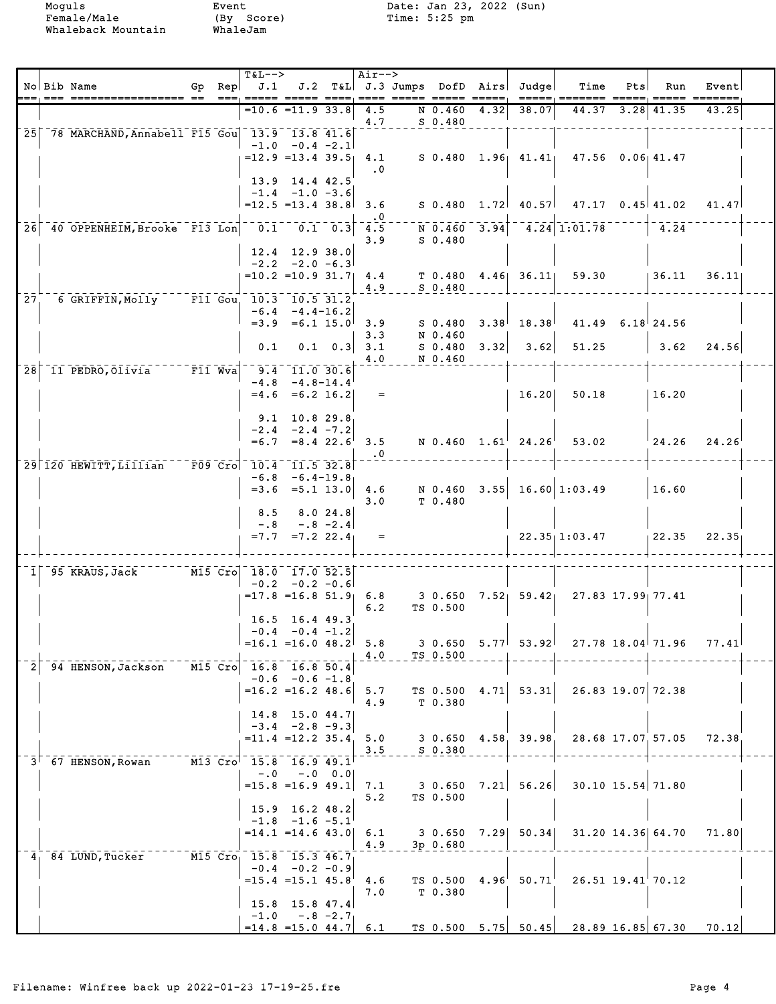|                 | No Bib Name                                     | Gp $Rep$ $J.1$                          | <b>T&amp;L--&gt;</b>       |                                                |                 | Air-->     |                     |      | J.2 T&L J.3 Jumps DofD Airs Judge                                      | Time                                                                | Pts | Run                | Event         |  |
|-----------------|-------------------------------------------------|-----------------------------------------|----------------------------|------------------------------------------------|-----------------|------------|---------------------|------|------------------------------------------------------------------------|---------------------------------------------------------------------|-----|--------------------|---------------|--|
|                 |                                                 |                                         |                            | $=10.6$ $=11.9$ 33.8                           |                 | 4.5        | N 0.460             | 4.32 | 38.07                                                                  |                                                                     |     | 44.37 3.28 41.35   | 43.25         |  |
|                 | 25 78 MARCHAND, Annabell F15 Gou 13.9 13.8 41.6 |                                         |                            |                                                |                 | 4.7        | $S$ 0.480           |      |                                                                        |                                                                     |     |                    |               |  |
|                 |                                                 |                                         |                            | $-1.0 -0.4 -2.1$<br>$= 12.9$ $= 13.4$ 39.5     |                 | 4.1        |                     |      |                                                                        | S 0.480 1.96 41.41 47.56 0.06 41.47                                 |     |                    |               |  |
|                 |                                                 |                                         |                            | 13.9 14.4 42.5                                 |                 | $\cdot$ 0  |                     |      |                                                                        |                                                                     |     |                    |               |  |
|                 |                                                 |                                         |                            | $-1.4$ $-1.0$ $-3.6$<br>$=12.5$ $=13.4$ 38.8   |                 | 3.6        |                     |      |                                                                        | $S$ 0.480 1.72 40.57 47.17 0.45 41.02                               |     |                    | 41.47         |  |
| 261             | 40 OPPENHEIM, Brooke F13 Lon 0.1 0.1 0.3 4.5    |                                         |                            |                                                |                 |            |                     |      |                                                                        | $\overline{N}$ 0.460 3.94 4.24 1:01.78                              |     | 4.24               |               |  |
|                 |                                                 |                                         |                            |                                                |                 | 3.9        | $S$ 0.480           |      |                                                                        |                                                                     |     |                    |               |  |
|                 |                                                 |                                         |                            | $12.4$ 12.9 38.0<br>$-2.2 -2.0 -6.3$           |                 |            |                     |      |                                                                        |                                                                     |     |                    |               |  |
|                 |                                                 |                                         |                            | $=10.2$ =10.9 31.7 4.4                         |                 | 4.9        | $S_0.480$           |      | $T$ 0.480 4.46 36.11                                                   | 59.30                                                               |     | 136.11             | 36.11         |  |
| 27 <sup>2</sup> | 6 GRIFFIN, Molly F11 Gou, 10.3 10.5 31.2        |                                         |                            | $-6.4 - 4.4 - 16.2$                            |                 |            |                     |      |                                                                        |                                                                     |     |                    |               |  |
|                 |                                                 |                                         |                            | $=3.9$ $=6.1$ $15.0$ 3.9                       |                 | 3.3        | S 0.480<br>N 0.460  |      | $3.38$ <sup><math>\mid</math></sup> 18.38 <sup><math>\mid</math></sup> |                                                                     |     | $41.49$ 6.18 24.56 |               |  |
|                 |                                                 |                                         | 0.1                        |                                                | $0.1 \quad 0.3$ | 3.1<br>4.0 | S 0.480<br>N 0.460  |      | $3.32$ $3.62$                                                          | 51.25                                                               |     | 3.62               | 24.56         |  |
|                 | 28 11 PEDRO, Olivia F11 Wva                     |                                         |                            | $9.4$ 11.0 30.6                                |                 |            |                     |      |                                                                        |                                                                     |     |                    |               |  |
|                 |                                                 |                                         |                            | $-4.8$ $-4.8$ -14.4<br>$=4.6$ $=6.2$ 16.2      |                 | $=$        |                     |      | 16.20                                                                  | 50.18                                                               |     | 16.20              |               |  |
|                 |                                                 |                                         |                            | $9.1$ 10.8 29.8                                |                 |            |                     |      |                                                                        |                                                                     |     |                    |               |  |
|                 |                                                 |                                         |                            | $-2.4 -2.4 -7.2$<br>$=6.7 = 8.4$ 22.6          |                 | 3.5        |                     |      | $N$ 0.460 1.61 24.26                                                   | 53.02                                                               |     |                    | $24.26$ 24.26 |  |
|                 | 29 120 HEWITT, Lillian F09 Cro 10.4 11.5 32.8   |                                         |                            |                                                |                 | $\cdot$ 0  |                     |      |                                                                        |                                                                     |     |                    |               |  |
|                 |                                                 |                                         |                            | $-6.8 - 6.4 - 19.8$<br>$=3.6$ $=5.1$ 13.0 4.6  |                 |            |                     |      |                                                                        | N $0.460$ 3.55 16.60 1:03.49                                        |     | 16.60              |               |  |
|                 |                                                 |                                         |                            |                                                |                 | 3.0        | T 0.480             |      |                                                                        |                                                                     |     |                    |               |  |
|                 |                                                 |                                         | 8.5                        | $-.8 - .8 - 2.4$                               | 8.024.8         |            |                     |      |                                                                        |                                                                     |     |                    |               |  |
|                 |                                                 |                                         |                            | $=7.7$ $=7.2$ 22.4                             |                 | $=$        |                     |      |                                                                        | $22.35 + 1:03.47$                                                   |     | 122.35             | 22.35         |  |
|                 | 1 95 KRAUS, Jack M15 Cro 18.0 17.0 52.5         |                                         |                            |                                                |                 |            |                     |      |                                                                        |                                                                     |     |                    |               |  |
|                 |                                                 |                                         |                            | $-0.2 -0.2 -0.6$<br>$=17.8$ =16.8 51.9 6.8     |                 |            |                     |      |                                                                        | 3 0.650 7.52 59.42 27.83 17.99 77.41                                |     |                    |               |  |
|                 |                                                 |                                         |                            | $16.5$ 16.4 49.3                               |                 | 6.2        | TS 0.500            |      |                                                                        |                                                                     |     |                    |               |  |
|                 |                                                 |                                         | $=16.1$ $=16.0$ $48.2$ 5.8 | $-0.4 - 0.4 - 1.2$                             |                 |            |                     |      | $3\;\;0.650\;\;5.771\;\;53.921$                                        |                                                                     |     | 27.78 18.04 71.96  | 77.41         |  |
|                 |                                                 | $\sqrt{15}$ Cro $\sqrt{16.8}$ 16.8 50.4 |                            |                                                |                 | 4.0        | TS 0.500            |      |                                                                        |                                                                     |     |                    |               |  |
| 2               | 94 HENSON,Jackson                               |                                         |                            | $-0.6 - 0.6 - 1.8$                             |                 |            |                     |      |                                                                        |                                                                     |     |                    |               |  |
|                 |                                                 |                                         |                            | $= 16.2$ = 16.2 48.6 5.7                       |                 | 4.9        | TS 0.500<br>T 0.380 |      | $4.71$ 53.31                                                           |                                                                     |     | 26.83 19.07 72.38  |               |  |
|                 |                                                 |                                         |                            | $14.8$ 15.0 44.7<br>$-3.4 -2.8 -9.3$           |                 |            |                     |      |                                                                        |                                                                     |     |                    |               |  |
|                 |                                                 |                                         |                            | $= 11.4$ $= 12.2$ 35.4 5.0                     |                 | 3.5        | S 0.380             |      |                                                                        | 3 0.650 4.58 39.98 28.68 17.07 57.05                                |     |                    | 72.38         |  |
|                 | $3^{\dagger}$ 67 HENSON, Rowan                  | M13 Cro 15.8 16.9 49.1                  |                            | $-.0$ $-.0$ $0.0$                              |                 |            |                     |      |                                                                        |                                                                     |     |                    |               |  |
|                 |                                                 |                                         |                            | $=15.8$ =16.9 49.1 7.1                         |                 |            | TS 0.500            |      | $3\,$ 0.650 $\,$ 7.21 $\,$ 56.26 $\,$                                  |                                                                     |     | 30.10 15.54 71.80  |               |  |
|                 |                                                 |                                         |                            | 15.9 16.2 48.2                                 |                 | 5.2        |                     |      |                                                                        |                                                                     |     |                    |               |  |
|                 |                                                 |                                         |                            | $-1.8$ $-1.6$ $-5.1$<br>$=14.1$ =14.6 43.0 6.1 |                 |            |                     |      | 3 0.650 7.29 50.34                                                     |                                                                     |     | 31.20 14.36 64.70  | 71.80         |  |
|                 | $41$ 84 LUND, Tucker                            | M15 Cro 15.8 15.3 46.7                  |                            |                                                |                 | 4.9        | 3p 0.680            |      |                                                                        |                                                                     |     |                    |               |  |
|                 |                                                 |                                         |                            | $-0.4 - 0.2 - 0.9$<br>$=15.4$ $=15.1$ $45.8$   |                 | 4.6        | TS 0.500            | 4.96 | 50.71                                                                  |                                                                     |     | 26.51 19.41 70.12  |               |  |
|                 |                                                 |                                         |                            | $15.8$ 15.8 47.4                               |                 | 7.0        | T 0.380             |      |                                                                        |                                                                     |     |                    |               |  |
|                 |                                                 |                                         |                            | $-1.0 - .8 - 2.7$                              |                 |            |                     |      |                                                                        |                                                                     |     |                    |               |  |
|                 |                                                 |                                         |                            |                                                |                 |            |                     |      |                                                                        | $=$ 14.8 =15.0 44.7 6.1 TS 0.500 5.75 50.45 28.89 16.85 67.30 70.12 |     |                    |               |  |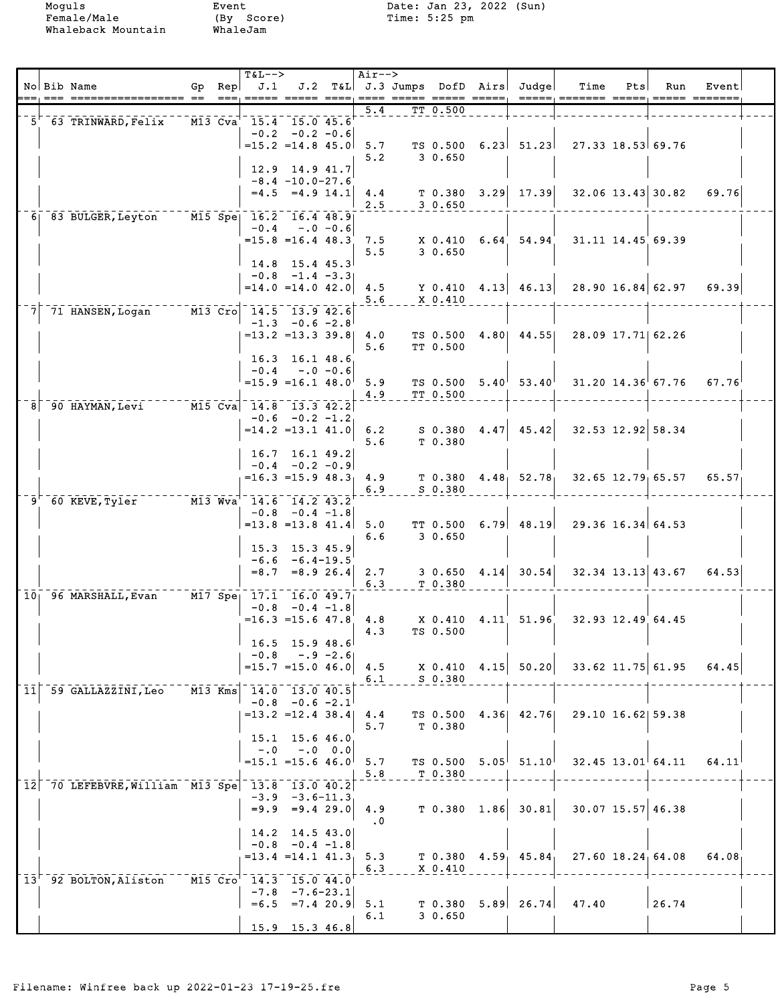|    | No Bib Name                                        |  | <b>T&amp;L--&gt;</b><br>Gp $\text{Rep}$ J.1<br>$=$ == $:$ ===== $=$ ===    |                                                    | Air-->    |             | J.2 T&L J.3 Jumps DofD Airs Judge | Time<br>=====, ======= =====                                       | Pts | Run   | Event<br>$\begin{array}{cccc} \texttt{-----} & \texttt{-----} \end{array}$ |  |
|----|----------------------------------------------------|--|----------------------------------------------------------------------------|----------------------------------------------------|-----------|-------------|-----------------------------------|--------------------------------------------------------------------|-----|-------|----------------------------------------------------------------------------|--|
|    | $-5$ 63 TRINWARD, Felix $-$ M13 Cva 15.4 15.0 45.6 |  |                                                                            |                                                    | 5.4       | TT 0.500    |                                   |                                                                    |     |       |                                                                            |  |
|    |                                                    |  |                                                                            | $-0.2 -0.2 -0.6$                                   |           |             |                                   |                                                                    |     |       |                                                                            |  |
|    |                                                    |  | $=15.2$ $=14.8$ $45.0$ 5.7                                                 |                                                    | 5.2       | 3 0.650     |                                   | TS $0.500 \quad 6.23$ $51.23$ $27.33 \quad 18.53$ 69.76            |     |       |                                                                            |  |
|    |                                                    |  |                                                                            | $12.9$ $14.9$ $41.7$                               |           |             |                                   |                                                                    |     |       |                                                                            |  |
|    |                                                    |  |                                                                            | $-8.4 - 10.0 - 27.6$<br>$=4.5$ $=4.9$ $14.1$ $4.4$ |           |             |                                   | $T$ 0.380 3.29 17.39 32.06 13.43 30.82                             |     |       | 69.76                                                                      |  |
|    | 6 83 BULGER, Leyton M15 Spe 16.2 16.4 48.9         |  |                                                                            |                                                    | 2.5       | 30.650      |                                   |                                                                    |     |       |                                                                            |  |
|    |                                                    |  |                                                                            | $-0.4 - 0.6$                                       |           |             |                                   |                                                                    |     |       |                                                                            |  |
|    |                                                    |  | $=15.8$ =16.4 48.3 7.5                                                     |                                                    | 5.5       | 30.650      | $X$ 0.410 6.64 54.94              | 31.11 14.45 69.39                                                  |     |       |                                                                            |  |
|    |                                                    |  |                                                                            | $14.8$ 15.4 45.3                                   |           |             |                                   |                                                                    |     |       |                                                                            |  |
|    |                                                    |  |                                                                            | $-0.8$ $-1.4$ $-3.3$                               |           |             |                                   | $=$ 14.0 =14.0 42.0 4.5 Y 0.410 4.13 46.13 28.90 16.84 62.97 69.39 |     |       |                                                                            |  |
|    | 71 HANSEN, Logan                                   |  | $\overline{M13}$ $\overline{Cro}$ $\overline{14.5}$ $\overline{13.9}$ 42.6 |                                                    | 5.6       | $X = 0.410$ |                                   |                                                                    |     |       |                                                                            |  |
|    |                                                    |  |                                                                            | $-1.3 -0.6 -2.8$                                   |           |             |                                   |                                                                    |     |       |                                                                            |  |
|    |                                                    |  | $= 13.2$ = 13.3 39.8 4.0                                                   |                                                    | 5.6       | TT 0.500    |                                   | TS 0.500 4.80  44.55  28.09 17.71  62.26                           |     |       |                                                                            |  |
|    |                                                    |  |                                                                            | 16.3 16.1 48.6                                     |           |             |                                   |                                                                    |     |       |                                                                            |  |
|    |                                                    |  | $=15.9$ $=16.1$ $48.0$ 5.9                                                 | $-0.4 - 0.6$                                       |           |             |                                   | TS 0.500 $5.40^{1}$ 53.40 <sup>1</sup> 31.20 14.36 67.76           |     |       | 67.76                                                                      |  |
|    | 8 90 HAYMAN, Levi M15 Cva 14.8 13.3 42.2           |  |                                                                            |                                                    | 4.9       | TT 0.500    |                                   |                                                                    |     |       |                                                                            |  |
|    |                                                    |  |                                                                            | $-0.6 -0.2 -1.2$                                   |           |             |                                   |                                                                    |     |       |                                                                            |  |
|    |                                                    |  | $=14.2$ = 13.1 41.0 6.2                                                    |                                                    | 5.6       | T 0.380     |                                   | $S$ 0.380 4.47 45.42 32.53 12.92 58.34                             |     |       |                                                                            |  |
|    |                                                    |  | 16.7 16.1 49.2                                                             |                                                    |           |             |                                   |                                                                    |     |       |                                                                            |  |
|    |                                                    |  | $= 16.3 = 15.9 48.3$ 4.9                                                   | $-0.4 - 0.2 - 0.9$                                 |           |             |                                   | $T$ 0.380 4.48 52.78 32.65 12.79 65.57                             |     |       | 65.57                                                                      |  |
| 9' | 60 KEVE,Tyler                                      |  | $\overline{M13}$ $\overline{Wv}a$ <sup>-1</sup> 14.6 14.2 43.2             |                                                    | 6.9       | $S$ 0.380   |                                   |                                                                    |     |       |                                                                            |  |
|    |                                                    |  |                                                                            | $-0.8$ $-0.4$ $-1.8$                               |           |             |                                   |                                                                    |     |       |                                                                            |  |
|    |                                                    |  | $= 13.8$ = 13.8 41.4 5.0                                                   |                                                    | 6.6       | 3 0.650     |                                   | TT $0.500 \quad 6.79$ 48.19 29.36 16.34 64.53                      |     |       |                                                                            |  |
|    |                                                    |  |                                                                            | 15.3 15.3 45.9<br>$-6.6 - 6.4 - 19.5$              |           |             |                                   |                                                                    |     |       |                                                                            |  |
|    |                                                    |  |                                                                            | $=8.7$ $=8.9$ 26.4 2.7                             |           |             |                                   | $3\;\; 0.650\quad 4.14\quad 30.54\quad 32.34\; 13.13\quad 43.67$   |     |       | 64.53                                                                      |  |
|    | 10 96 MARSHALL, Evan M17 Spe 17.1 16.0 49.7        |  |                                                                            |                                                    | 6.3       | T 0.380     |                                   |                                                                    |     |       |                                                                            |  |
|    |                                                    |  |                                                                            | $-0.8$ $-0.4$ $-1.8$                               |           |             |                                   |                                                                    |     |       |                                                                            |  |
|    |                                                    |  | $=16.3$ = 15.6 47.8 4.8                                                    |                                                    | 4.3       | TS 0.500    | X 0.410 4.11 51.96                | 32.93 12.49 64.45                                                  |     |       |                                                                            |  |
|    |                                                    |  | $-0.8$                                                                     | $16.5$ 15.9 48.6<br>$-.9 - 2.6$                    |           |             |                                   |                                                                    |     |       |                                                                            |  |
|    |                                                    |  | $=15.7$ $=15.0$ 46.0                                                       |                                                    | 4.5       |             |                                   | $X$ 0.410 4.15 50.20 33.62 11.75 61.95                             |     |       | 64.45                                                                      |  |
|    | 11 59 GALLAZZINI, Leo M13 Kms $14.0$ 13.0 $40.5$   |  |                                                                            |                                                    | 6.1       | $S$ 0.380   |                                   |                                                                    |     |       |                                                                            |  |
|    |                                                    |  |                                                                            | $-0.8$ $-0.6$ $-2.1$                               |           |             |                                   |                                                                    |     |       |                                                                            |  |
|    |                                                    |  | $= 13.2$ $= 12.4$ 38.4 4.4                                                 |                                                    | 5.7       | T 0.380     |                                   | TS 0.500 4.36 42.76 29.10 16.62 59.38                              |     |       |                                                                            |  |
|    |                                                    |  |                                                                            | 15.1 15.6 46.0<br>$-.0$ $-.0$ $0.0$                |           |             |                                   |                                                                    |     |       |                                                                            |  |
|    |                                                    |  | $=15.1$ = 15.6 46.0                                                        |                                                    | 5.7       |             |                                   | TS 0.500 $5.05^{\dagger}$ 51.10 32.45 13.01 64.11                  |     |       | 64.11                                                                      |  |
|    | 12 70 LEFEBVRE, William M13 Spe 13.8 13.0 40.2     |  |                                                                            |                                                    | 5.8       | T 0.380     |                                   |                                                                    |     |       |                                                                            |  |
|    |                                                    |  |                                                                            | $-3.9 - 3.6 - 11.3$<br>$=9.9$ $=9.4$ 29.0 4.9      |           |             | $T$ 0.380 1.86 30.81              | 30.07 15.57 46.38                                                  |     |       |                                                                            |  |
|    |                                                    |  |                                                                            |                                                    | $\cdot$ 0 |             |                                   |                                                                    |     |       |                                                                            |  |
|    |                                                    |  |                                                                            | $14.2$ 14.5 43.0<br>$-0.8$ $-0.4$ $-1.8$           |           |             |                                   |                                                                    |     |       |                                                                            |  |
|    |                                                    |  |                                                                            | $= 13.4$ $= 14.1$ $41.3$                           | 5.3       |             |                                   | T $0.380$ 4.59 45.84 27.60 18.24 64.08                             |     |       | 64.08                                                                      |  |
|    | 13' 92 BOLTON, Aliston M15 Cro' 14.3 15.0 44.0     |  |                                                                            |                                                    | 6.3       | X 0.410     |                                   |                                                                    |     |       |                                                                            |  |
|    |                                                    |  |                                                                            | $-7.8$ $-7.6-23.1$<br>$=6.5$ $=7.4$ 20.9 5.1       |           | T 0.380     |                                   | $5.89$ 26.74 47.40                                                 |     | 26.74 |                                                                            |  |
|    |                                                    |  |                                                                            |                                                    | 6.1       | 30.650      |                                   |                                                                    |     |       |                                                                            |  |
|    |                                                    |  |                                                                            | 15.9 15.3 46.8                                     |           |             |                                   |                                                                    |     |       |                                                                            |  |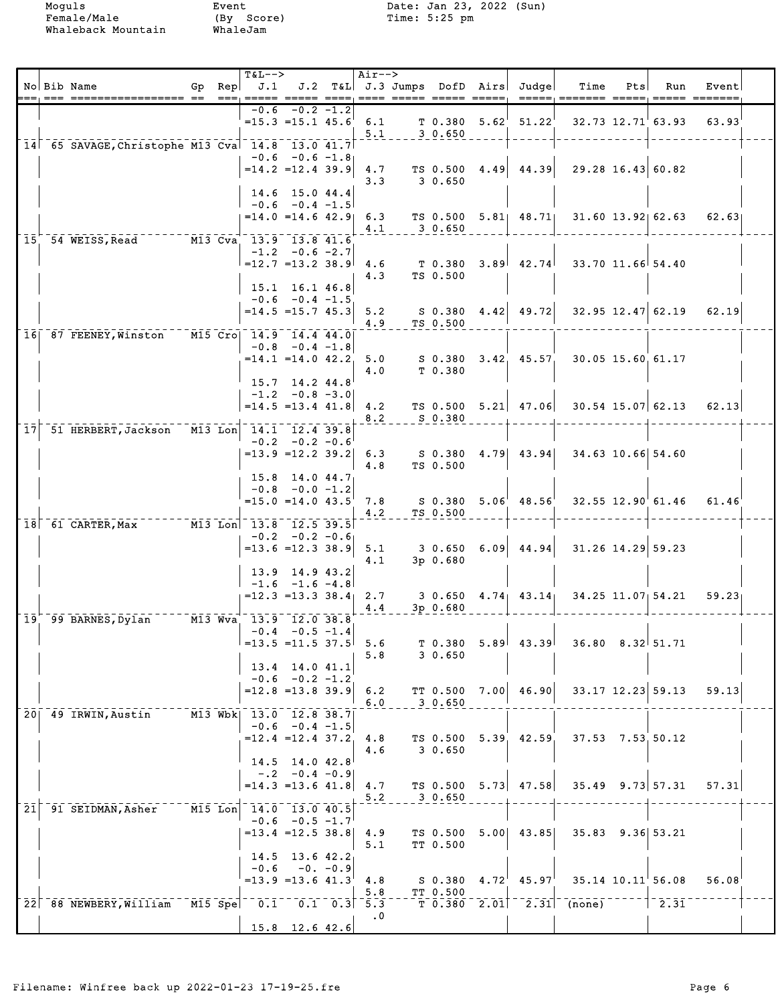|                 | No Bib Name                                             |  | <b>T&amp;L--&gt;</b><br>Gp Rep $J.1$ J.2 T&L J.3 Jumps DofD Airs Judge |                                          | Air-->     |     |                        |                   |                                               | Time                                                                                  | Pts | Run                     | Event                     |  |
|-----------------|---------------------------------------------------------|--|------------------------------------------------------------------------|------------------------------------------|------------|-----|------------------------|-------------------|-----------------------------------------------|---------------------------------------------------------------------------------------|-----|-------------------------|---------------------------|--|
|                 |                                                         |  | $==$ $==$                                                              |                                          |            |     | ---- ----- ----- ----- |                   | $\frac{1}{2}$                                 |                                                                                       |     |                         |                           |  |
|                 |                                                         |  |                                                                        | $-0.6 - 0.2 - 1.2$                       |            |     |                        |                   | $=15.3$ $=15.1$ $45.6$ 6.1 T 0.380 5.62 51.22 |                                                                                       |     |                         | $32.73$ 12.71 63.93 63.93 |  |
|                 |                                                         |  |                                                                        |                                          |            | 5.1 | 30.650                 |                   |                                               |                                                                                       |     |                         |                           |  |
|                 | 14 65 SAVAGE, Christophe M13 Cva 14.8 13.0 41.7         |  |                                                                        |                                          |            |     |                        |                   |                                               |                                                                                       |     |                         |                           |  |
|                 |                                                         |  | $= 14.2$ $= 12.4$ 39.9 4.7                                             | $-0.6 - 0.6 - 1.8$                       |            |     |                        |                   |                                               | TS 0.500 $4.49$ $44.39$ $29.28$ 16.43 60.82                                           |     |                         |                           |  |
|                 |                                                         |  |                                                                        |                                          | 3.3        |     | 3 0.650                |                   |                                               |                                                                                       |     |                         |                           |  |
|                 |                                                         |  | $-0.6 -0.4 -1.5$                                                       | 14.6 15.0 44.4                           |            |     |                        |                   |                                               |                                                                                       |     |                         |                           |  |
|                 |                                                         |  | $= 14.0 = 14.6$ 42.9 6.3                                               |                                          |            |     |                        |                   |                                               | TS 0.500 5.81 48.71 31.60 13.92 62.63                                                 |     |                         | 62.63                     |  |
|                 |                                                         |  |                                                                        |                                          | 4.1        |     | 3 0.650                |                   |                                               |                                                                                       |     |                         |                           |  |
|                 | 15 54 WEISS, Read M13 Cva 13.9 13.8 41.6                |  |                                                                        | $-1.2 - 0.6 - 2.7$                       |            |     |                        |                   |                                               |                                                                                       |     |                         |                           |  |
|                 |                                                         |  | $=12.7$ = 13.2 38.9 4.6                                                |                                          |            |     | T 0.380                |                   |                                               | $3.89$ $42.74$ $33.70$ $11.66$ 54.40                                                  |     |                         |                           |  |
|                 |                                                         |  |                                                                        | $15.1$ $16.1$ $46.8$                     | 4.3        |     | TS 0.500               |                   |                                               |                                                                                       |     |                         |                           |  |
|                 |                                                         |  |                                                                        | $-0.6 -0.4 -1.5$                         |            |     |                        |                   |                                               |                                                                                       |     |                         |                           |  |
|                 |                                                         |  | $= 14.5$ $= 15.7$ $45.3$ 5.2                                           |                                          |            |     |                        |                   |                                               | $S$ 0.380 4.42 49.72 32.95 12.47 62.19 62.19                                          |     |                         |                           |  |
|                 | 16 87 FEENEY, Winston M15 Cro 14.9 14.4 44.0            |  |                                                                        |                                          | 4.9        |     | TS 0.500               |                   |                                               |                                                                                       |     |                         |                           |  |
|                 |                                                         |  |                                                                        | $-0.8$ $-0.4$ $-1.8$                     |            |     |                        |                   |                                               |                                                                                       |     |                         |                           |  |
|                 |                                                         |  | $=14.1$ $=14.0$ $42.2$ 5.0                                             |                                          | 4.0        |     | T 0.380                |                   |                                               | S 0.380 3.42 45.57 30.05 15.60 61.17                                                  |     |                         |                           |  |
|                 |                                                         |  |                                                                        | $15.7$ $14.2$ $44.8$                     |            |     |                        |                   |                                               |                                                                                       |     |                         |                           |  |
|                 |                                                         |  | $= 14.5 = 13.4$ 41.8 4.2                                               | $-1.2 -0.8 -3.0$                         |            |     |                        |                   |                                               | TS 0.500 5.21 47.06 30.54 15.07 62.13                                                 |     |                         | 62.13                     |  |
|                 |                                                         |  |                                                                        |                                          | 8.2        |     | S 0.380                |                   |                                               |                                                                                       |     |                         |                           |  |
| 17 <sup>1</sup> | 51 HERBERT, Jackson M13 Lon 14.1 12.4 39.8              |  |                                                                        | $-0.2 -0.2 -0.6$                         |            |     |                        |                   |                                               |                                                                                       |     |                         |                           |  |
|                 |                                                         |  | $=13.9$ $=12.2$ 39.2 6.3                                               |                                          |            |     |                        |                   |                                               | $S$ 0.380 4.79 43.94 34.63 10.66 54.60                                                |     |                         |                           |  |
|                 |                                                         |  |                                                                        |                                          | 4.8        |     | TS 0.500               |                   |                                               |                                                                                       |     |                         |                           |  |
|                 |                                                         |  | $15.8$ 14.0 44.7                                                       | $-0.8$ $-0.0$ $-1.2$                     |            |     |                        |                   |                                               |                                                                                       |     |                         |                           |  |
|                 |                                                         |  |                                                                        |                                          |            |     |                        |                   |                                               | $=$ 15.0 $=$ 14.0 43.5 $'$ 7.8 S 0.380 5.06 $'$ 48.56 $'$ 32.55 12.90 $'$ 61.46 61.46 |     |                         |                           |  |
|                 | $18$ 61 CARTER, Max $\overline{M13}$ Lon 13.8 12.5 39.5 |  |                                                                        |                                          | 4.2        |     | TS 0.500               |                   |                                               |                                                                                       |     |                         |                           |  |
|                 |                                                         |  |                                                                        | $-0.2 -0.2 -0.6$                         |            |     |                        |                   |                                               |                                                                                       |     |                         |                           |  |
|                 |                                                         |  | $=13.6$ $=12.3$ 38.9                                                   |                                          | 5.1<br>4.1 |     | 3p 0.680               |                   |                                               | $3\,0.650\quad 6.09$ $44.94$ $31.26\,14.29$ 59.23                                     |     |                         |                           |  |
|                 |                                                         |  |                                                                        | 13.9 14.9 43.2                           |            |     |                        |                   |                                               |                                                                                       |     |                         |                           |  |
|                 |                                                         |  | $-1.6$ $-1.6$ $-4.8$<br>$=12.3$ $=13.3$ $38.4$ 2.7                     |                                          |            |     |                        |                   |                                               |                                                                                       |     |                         |                           |  |
|                 |                                                         |  |                                                                        |                                          | 4.4        |     | $3p$ 0.680             |                   |                                               | $3\,0.650\,4.74$ $43.14$ $34.25\,11.07$ 54.21                                         |     |                         | 59.23 <sub>1</sub>        |  |
|                 | 19 99 BARNES, Dylan M13 Wva 13.9 12.0 38.8              |  |                                                                        |                                          |            |     |                        |                   |                                               |                                                                                       |     |                         |                           |  |
|                 |                                                         |  | $=13.5$ $=11.5$ 37.5 5.6                                               | $-0.4 - 0.5 - 1.4$                       |            |     |                        |                   | $T$ 0.380 5.89 43.39                          | $36.80$ $8.32$ $51.71$                                                                |     |                         |                           |  |
|                 |                                                         |  |                                                                        |                                          | 5.8        |     | 30.650                 |                   |                                               |                                                                                       |     |                         |                           |  |
|                 |                                                         |  |                                                                        | $13.4$ 14.0 41.1<br>$-0.6$ $-0.2$ $-1.2$ |            |     |                        |                   |                                               |                                                                                       |     |                         |                           |  |
|                 |                                                         |  | $= 12.8$ = 13.8 39.9 6.2                                               |                                          |            |     | TT 0.500               |                   | $7.00$ 46.90                                  |                                                                                       |     | 33.17 12.23 59.13       | 59.13                     |  |
|                 |                                                         |  |                                                                        |                                          | 6.0        |     | 3 0.650                |                   |                                               |                                                                                       |     |                         |                           |  |
|                 | 20 49 IRWIN, Austin                                     |  | M13 Wbk  13.0  12.8  38.7                                              | $-0.6 -0.4 -1.5$                         |            |     |                        |                   |                                               |                                                                                       |     |                         |                           |  |
|                 |                                                         |  | $=12.4$ $=12.4$ 37.2                                                   |                                          | 4.8        |     | TS 0.500               |                   | $5.39$ $42.59$                                | $37.53$ $7.53$ , $50.12$                                                              |     |                         |                           |  |
|                 |                                                         |  |                                                                        | 14.5 14.0 42.8                           | 4.6        |     | 3 0.650                |                   |                                               |                                                                                       |     |                         |                           |  |
|                 |                                                         |  |                                                                        | $-.2 -0.4 -0.9$                          |            |     |                        |                   |                                               |                                                                                       |     |                         |                           |  |
|                 |                                                         |  | $= 14.3 = 13.6 41.8$ 4.7                                               |                                          | 5.2        |     | TS 0.500<br>3 0.650    |                   | $5.73$ 47.58                                  |                                                                                       |     | $35.49$ $9.73$ $57.31$  | 57.31                     |  |
| 21 <sup>1</sup> | 91 SEIDMAN, Asher                                       |  | M15 Lon 14.0 13.0 40.5                                                 |                                          |            |     |                        |                   |                                               |                                                                                       |     |                         |                           |  |
|                 |                                                         |  | $=13.4$ $=12.5$ 38.8                                                   | $-0.6 -0.5 -1.7$                         |            |     |                        |                   | $5.00$ 43.85                                  | $35.83$ $9.36$ $53.21$                                                                |     |                         |                           |  |
|                 |                                                         |  |                                                                        |                                          | 4.9<br>5.1 |     | TS 0.500<br>TT 0.500   |                   |                                               |                                                                                       |     |                         |                           |  |
|                 |                                                         |  |                                                                        | 14.5 13.6 42.2                           |            |     |                        |                   |                                               |                                                                                       |     |                         |                           |  |
|                 |                                                         |  | $=13.9$ $=13.6$ $41.3$                                                 | $-0.6 - 0. -0.9$                         | 4.8        |     | S 0.380                | 4.72 <sup>1</sup> | 45.97 <sup>1</sup>                            |                                                                                       |     | $35.14$ $10.11$ $56.08$ | 56.08                     |  |
|                 |                                                         |  |                                                                        |                                          | 5.8        |     | TT 0.500               |                   |                                               |                                                                                       |     |                         |                           |  |
|                 | 22 88 NEWBERY, William M15 Spe 0.1 0.1 0.3 5.3          |  |                                                                        |                                          | .0         |     |                        |                   |                                               | $T$ 0.380 2.01 2.31 (none) 2.31                                                       |     |                         |                           |  |
|                 |                                                         |  |                                                                        | $15.8$ 12.6 42.6                         |            |     |                        |                   |                                               |                                                                                       |     |                         |                           |  |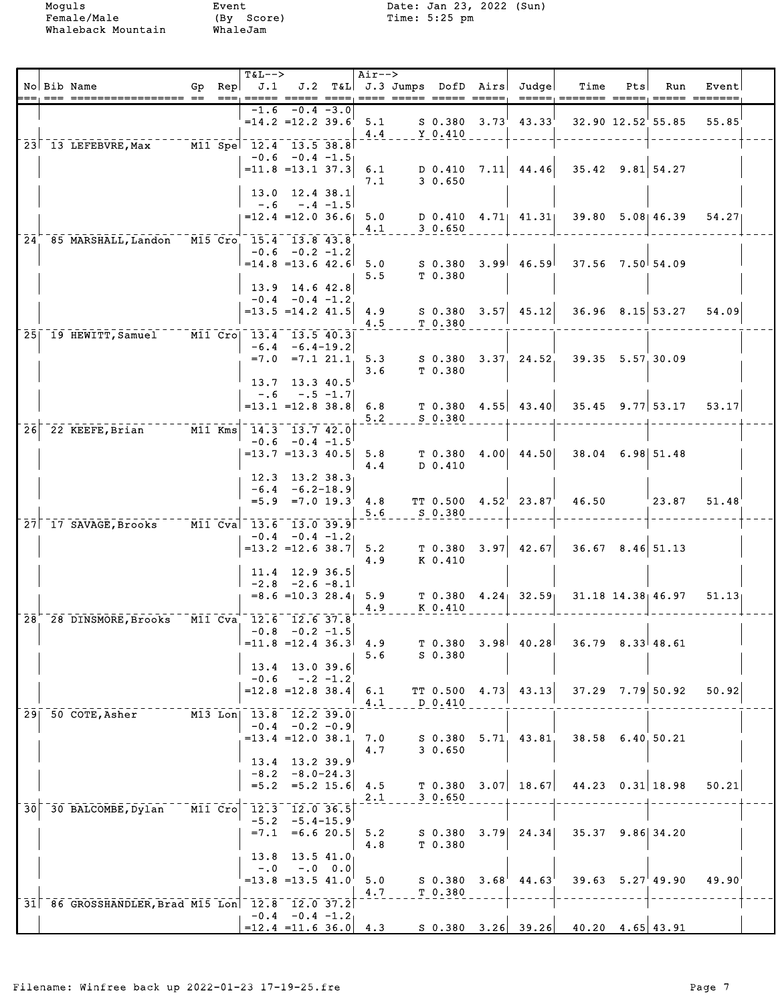|                 | No Bib Name                                     |  | <b>T&amp;L--&gt;</b>                            |                                                                   | Air-->     | ___ _____ ____     |                   | Gp Rep $J.1$ J.2 T&L J.3 Jumps DofD Airs Judge<br>$= -$ | Time                                   | Pts | Run                    | Event                   |  |
|-----------------|-------------------------------------------------|--|-------------------------------------------------|-------------------------------------------------------------------|------------|--------------------|-------------------|---------------------------------------------------------|----------------------------------------|-----|------------------------|-------------------------|--|
|                 |                                                 |  |                                                 | $-1.6 -0.4 -3.0$                                                  | 4.4        | Y 0.410            |                   | $=14.2$ $=12.2$ 39.6 5.1 S 0.380 3.73 43.33             |                                        |     |                        | 32.90 12.52 55.85 55.85 |  |
|                 | 23 13 LEFEBVRE, Max M11 Spe 12.4 13.5 38.8      |  | $-0.6$ $-0.4$ $-1.5$                            |                                                                   |            |                    |                   |                                                         |                                        |     |                        |                         |  |
|                 |                                                 |  | $= 11.8 = 13.1 37.3$                            | 13.0 12.4 38.1                                                    | 6.1<br>7.1 | 30.650             |                   |                                                         | $D$ 0.410 7.11 44.46 35.42 9.81 54.27  |     |                        |                         |  |
|                 |                                                 |  | $=12.4$ = 12.0 36.6 5.0                         | $-.6 - .4 -1.5$                                                   | 4.1        | 30.650             |                   | D 0.410 4.71 41.31                                      |                                        |     | $39.80$ $5.08$   46.39 | 54.27                   |  |
|                 | 24 85 MARSHALL, Landon M15 Cro 15.4 13.8 43.8   |  | $=14.8$ = 13.6 42.6 5.0                         | $-0.6 -0.2 -1.2$                                                  |            |                    |                   | S 0.380 3.99 46.59                                      | $37.56$ $7.50$ 54.09                   |     |                        |                         |  |
|                 |                                                 |  | 13.9 14.6 42.8                                  |                                                                   | 5.5        | T 0.380            |                   |                                                         |                                        |     |                        |                         |  |
|                 |                                                 |  | $= 13.5 = 14.2 41.5 4.9$                        | $-0.4 - 0.4 - 1.2$                                                | 4.5        | T 0.380            |                   |                                                         | $S$ 0.380 3.57 45.12 36.96 8.15 53.27  |     |                        | 54.09                   |  |
|                 | 25 19 HEWITT, Samuel M11 Cro 13.4 13.5 40.3     |  |                                                 | $-6.4 - 6.4 - 19.2$<br>$=7.0$ $=7.1$ $21.1$ 5.3                   |            |                    |                   |                                                         | S 0.380 3.37 24.52 39.35 5.57 30.09    |     |                        |                         |  |
|                 |                                                 |  |                                                 | $13.7$ 13.3 40.5<br>$-.6 - .5 - 1.7$                              | 3.6        | T 0.380            |                   |                                                         |                                        |     |                        |                         |  |
|                 | 26 22 KEEFE, Brian M11 Kms 14.3 13.7 42.0       |  | $= 13.1$ = 12.8 38.8 6.8                        |                                                                   | 5.2        | S 0.380            |                   |                                                         | $T$ 0.380 4.55 43.40 35.45 9.77 53.17  |     |                        | 53.17                   |  |
|                 |                                                 |  | $= 13.7$ $= 13.3$ 40.5 5.8                      | $-0.6 -0.4 -1.5$                                                  |            |                    |                   | $T$ 0.380 4.00 44.50                                    | 38.04 6.98 51.48                       |     |                        |                         |  |
|                 |                                                 |  |                                                 | $12.3$ $13.2$ $38.3$<br>$-6.4 - 6.2 - 18.9$                       | 4.4        | D 0.410            |                   |                                                         |                                        |     |                        |                         |  |
|                 | 27 17 SAVAGE, Brooks M11 Cva 13.6 13.0 39.9     |  |                                                 | $=5.9$ $=7.0$ $19.3$                                              | 4.8<br>5.6 | S 0.380            |                   |                                                         | $TT 0.500 4.52^{1} 23.87^{1} 46.50$    |     | $^{\top}$ 23.87        | 51.48                   |  |
|                 |                                                 |  | $=13.2$ $=12.6$ 38.7                            | $-0.4 - 0.4 - 1.2$                                                | 5.2<br>4.9 | K 0.410            |                   | $T$ 0.380 3.97 42.67                                    | $36.67$ $8.46$ 51.13                   |     |                        |                         |  |
|                 |                                                 |  |                                                 | 11.4 12.9 36.5<br>$-2.8$ $-2.6$ $-8.1$<br>$= 8.6 = 10.3$ 28.4 5.9 |            |                    |                   |                                                         | $T$ 0.380 4.24 32.59 31.18 14.38 46.97 |     |                        | 51.13                   |  |
|                 | 28 28 DINSMORE, Brooks M11 Cva 12.6 12.6 37.8   |  |                                                 | $-0.8$ $-0.2$ $-1.5$                                              | 4.9        | K 0.410            |                   |                                                         |                                        |     |                        |                         |  |
|                 |                                                 |  | $=11.8$ $=12.4$ 36.3 4.9                        |                                                                   | 5.6        | $S$ 0.380          |                   | $T$ 0.380 3.98 40.28                                    | $36.79$ $8.33$ 48.61                   |     |                        |                         |  |
|                 |                                                 |  | $=12.8$ = 12.8 38.4 6.1                         | $13.4$ 13.0 39.6<br>$-0.6 - 0.2 - 1.2$                            |            | TT 0.500           |                   | $4.73$ $43.13$                                          |                                        |     | $37.29$ $7.79$ 50.92   | 50.92                   |  |
|                 | 29 50 COTE, Asher                               |  | M13 Lon  13.8  12.2  39.0                       | $-0.4 - 0.2 - 0.9$                                                | 4.1        | D 0.410            |                   |                                                         |                                        |     |                        |                         |  |
|                 |                                                 |  | $=13.4$ $=12.0$ 38.1                            | 13.4 13.2 39.9                                                    | 7.0<br>4.7 | 30.650             |                   | $S$ 0.380 5.71 43.81                                    | 38.58 6.40 50.21                       |     |                        |                         |  |
|                 |                                                 |  |                                                 | $-8.2 - 8.0 - 24.3$<br>$=5.2$ $=5.2$ 15.6 4.5                     | 2.1        | 30.650             |                   | $T$ 0.380 3.07 18.67                                    |                                        |     | $44.23$ 0.31 18.98     | 50.21                   |  |
| 30 <sup>1</sup> | 30 BALCOMBE, Dylan                              |  | M11 Cro 12.3 12.0 36.5                          | $-5.2 -5.4-15.9$<br>$=7.1$ =6.6 20.5 5.2                          |            | S 0.380            |                   | $3.79$ 24.34                                            | $35.37$ $9.86$ 34.20                   |     |                        |                         |  |
|                 |                                                 |  |                                                 | $13.8$ 13.5 41.0                                                  | 4.8        | T 0.380            |                   |                                                         |                                        |     |                        |                         |  |
|                 |                                                 |  | $=13.8$ $=13.5$ $41.0$                          | $-.0$ $-.0$ $0.0$                                                 | 5.0<br>4.7 | S 0.380<br>T 0.380 | 3.68 <sup>1</sup> | 44.63                                                   |                                        |     | $39.63$ $5.27$ 49.90   | 49.90                   |  |
|                 | 31 86 GROSSHANDLER, Brad M15 Lon 12.8 12.0 37.2 |  | $-0.4$ $-0.4$ $-1.2$<br>$=12.4$ = 11.6 36.0 4.3 |                                                                   |            |                    |                   |                                                         | $S$ 0.380 3.26 39.26 40.20 4.65 43.91  |     |                        |                         |  |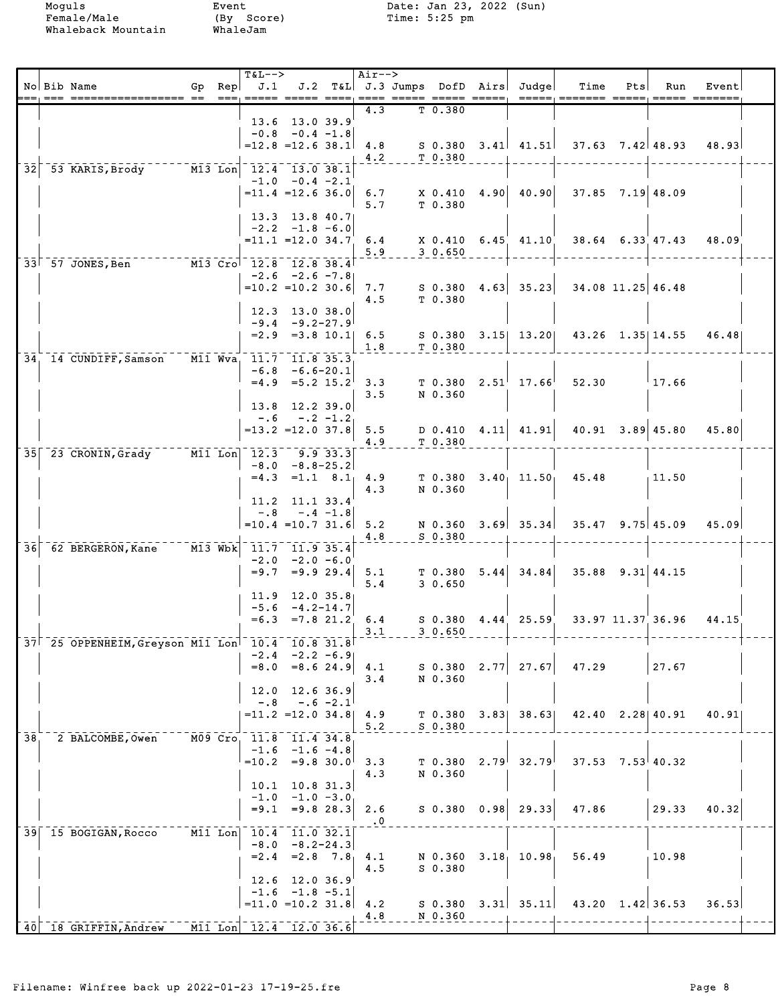|     | No Bib Name                                     |           | $T&L-->$<br>Gp Rep $J.1$                                    |                                                 |             | Air-->                |                      | J.2 T&L J.3 Jumps DofD Airs Judge | Time                                      | Pts | Run                      | Event |  |
|-----|-------------------------------------------------|-----------|-------------------------------------------------------------|-------------------------------------------------|-------------|-----------------------|----------------------|-----------------------------------|-------------------------------------------|-----|--------------------------|-------|--|
|     |                                                 |           | $==$ , $==$                                                 |                                                 |             | 4.3                   | T 0.380              |                                   |                                           |     |                          |       |  |
|     |                                                 |           |                                                             | 13.6 13.0 39.9                                  |             |                       |                      |                                   |                                           |     |                          |       |  |
|     |                                                 |           | $=12.8$ = 12.6 38.1                                         | $-0.8$ $-0.4$ $-1.8$                            |             | 4.8                   |                      |                                   | $S$ 0.380 3.41 41.51 37.63 7.42 48.93     |     |                          | 48.93 |  |
|     |                                                 |           |                                                             |                                                 |             | 4.2                   | T <sub>0.380</sub>   |                                   |                                           |     |                          |       |  |
| 32  | 53 KARIS, Brody M13 Lon 12.4 13.0 38.1          |           |                                                             | $-1.0 -0.4 -2.1$                                |             |                       |                      |                                   |                                           |     |                          |       |  |
|     |                                                 |           |                                                             | $=11.4$ $=12.6$ 36.0                            |             | 6.7                   |                      | X 0.410 4.90 40.90                | $37.85$ $7.19$ 48.09                      |     |                          |       |  |
|     |                                                 |           |                                                             | $13.3$ $13.8$ $40.7$                            |             | 5.7                   | T 0.380              |                                   |                                           |     |                          |       |  |
|     |                                                 |           |                                                             | $-2.2 -1.8 -6.0$                                |             |                       |                      |                                   |                                           |     |                          |       |  |
|     |                                                 |           |                                                             | $=11.1$ $=12.0$ $34.7$                          |             | 6.4                   |                      | $X$ 0.410 6.45 41.10              |                                           |     | $38.64$ $6.33$ $47.43$   | 48.09 |  |
|     | M13 Cro 12.8 12.8 38.4<br>33 57 JONES, Ben      |           |                                                             |                                                 |             | 5.9                   | 30.650               |                                   |                                           |     |                          |       |  |
|     |                                                 |           |                                                             | $-2.6 -2.6 -7.8$                                |             |                       |                      |                                   |                                           |     |                          |       |  |
|     |                                                 |           | $=10.2$ =10.2 30.6 7.7                                      |                                                 |             | 4.5                   | S 0.380<br>T 0.380   | $4.63$ 35.23                      | 34.08 11.25 46.48                         |     |                          |       |  |
|     |                                                 |           |                                                             | 12.3 13.0 38.0                                  |             |                       |                      |                                   |                                           |     |                          |       |  |
|     |                                                 |           |                                                             | $-9.4 - 9.2 - 27.9$<br>$= 2.9$ $= 3.8$ 10.1 6.5 |             |                       |                      |                                   | S 0.380 3.15 13.20 43.26 1.35 14.55 46.48 |     |                          |       |  |
|     |                                                 |           |                                                             |                                                 |             | 1.8                   | T 0.380              |                                   |                                           |     |                          |       |  |
|     | 34, 14 CUNDIFF, Samson M11 Wva, 11.7 11.8 35.3  |           |                                                             |                                                 |             |                       |                      |                                   |                                           |     |                          |       |  |
|     |                                                 |           |                                                             | $-6.8 - 6.6 - 20.1$<br>$=4.9$ $=5.2$ $15.2$ 3.3 |             |                       |                      | $T$ 0.380 2.51 17.66              | 52.30                                     |     | 17.66                    |       |  |
|     |                                                 |           |                                                             |                                                 |             | 3.5                   | N 0.360              |                                   |                                           |     |                          |       |  |
|     |                                                 |           | $-.6$                                                       | 13.8 12.2 39.0                                  | $-.2 - 1.2$ |                       |                      |                                   |                                           |     |                          |       |  |
|     |                                                 |           |                                                             | $=13.2$ $=12.0$ 37.8                            |             | 5.5                   |                      | $D$ 0.410 4.11 41.91              |                                           |     | $40.91$ $3.89$ $45.80$   | 45.80 |  |
|     | 35 23 CRONIN, Grady M11 Lon 12.3 9.9 33.3       |           |                                                             |                                                 |             | 4.9                   | T 0.380              |                                   |                                           |     |                          |       |  |
|     |                                                 |           |                                                             | $-8.0 - 8.8 - 25.2$                             |             |                       |                      |                                   |                                           |     |                          |       |  |
|     |                                                 |           | $= 4.3$                                                     |                                                 |             | $=1.1$ 8.1 4.9<br>4.3 | T 0.380<br>N 0.360   | $3.40$ , $11.50$                  | 45.48                                     |     | 11.50                    |       |  |
|     |                                                 |           |                                                             | 11.2 11.1 33.4                                  |             |                       |                      |                                   |                                           |     |                          |       |  |
|     |                                                 |           | $-.8$                                                       |                                                 | $-.4 -1.8$  |                       |                      |                                   |                                           |     |                          |       |  |
|     |                                                 |           | $=10.4$ $=10.7$ 31.6                                        |                                                 |             | 5.2<br>4.8            | S 0.380              |                                   | N 0.360 $3.69$ 35.34 35.47 9.75 45.09     |     |                          | 45.09 |  |
| 361 | 62 BERGERON, Kane                               | $M13$ Wbk | 11.7 11.9 35.4                                              |                                                 |             |                       |                      |                                   |                                           |     |                          |       |  |
|     |                                                 |           | $= 9.7$                                                     | $-2.0 -2.0 -6.0$                                |             | $= 9.9 29.4$ 5.1      |                      | $T$ 0.380 5.44 34.84              | $35.88$ $9.31$ $44.15$                    |     |                          |       |  |
|     |                                                 |           |                                                             |                                                 |             | 5.4                   | 30.650               |                                   |                                           |     |                          |       |  |
|     |                                                 |           |                                                             | $11.9$ 12.0 35.8<br>$-5.6 -4.2 - 14.7$          |             |                       |                      |                                   |                                           |     |                          |       |  |
|     |                                                 |           |                                                             | $=6.3$ $=7.8$ 21.2                              |             | 6.4                   |                      | $S$ 0.380 4.44 25.59              | 33.97 11.37 36.96                         |     |                          | 44.15 |  |
|     | 37 25 OPPENHEIM, Greyson M11 Lon 10.4           |           |                                                             | $10.8$ 31.8                                     |             | 3.1                   | 30.650               |                                   |                                           |     |                          |       |  |
|     |                                                 |           |                                                             | $-2.4$ $-2.2$ $-6.9$                            |             |                       |                      |                                   |                                           |     |                          |       |  |
|     |                                                 |           | $= 8.0$                                                     | $= 8.624.9$                                     |             | 4.1                   | S 0.380              | $2.77$ 27.67                      | 47.29                                     |     | 27.67                    |       |  |
|     |                                                 |           | 12.0                                                        | 12.6 36.9                                       |             | 3.4                   | N 0.360              |                                   |                                           |     |                          |       |  |
|     |                                                 |           | $-.8$                                                       |                                                 | $-.6 -2.1$  |                       |                      |                                   |                                           |     |                          |       |  |
|     |                                                 |           |                                                             | $= 11.2$ = 12.0 34.8 4.9                        |             | 5.2                   | T 0.380<br>$S$ 0.380 | $3.83$ $38.63$                    |                                           |     | $42.40$ $2.28$   $40.91$ | 40.91 |  |
| 38  | 2 BALCOMBE, Owen                                |           | M09 Cro 11.8 11.4 34.8                                      |                                                 |             |                       |                      |                                   |                                           |     |                          |       |  |
|     |                                                 |           | $=10.2$                                                     | $-1.6$ $-1.6$ $-4.8$<br>$= 9.8$ 30.0            |             | 3.3                   | T 0.380              | $2.79^{+}$ 32.79                  | $37.53$ $7.53$ 40.32                      |     |                          |       |  |
|     |                                                 |           |                                                             |                                                 |             | 4.3                   | N 0.360              |                                   |                                           |     |                          |       |  |
|     |                                                 |           |                                                             | $10.1$ 10.8 31.3<br>$-1.0 -1.0 -3.0$            |             |                       |                      |                                   |                                           |     |                          |       |  |
|     |                                                 |           | $= 9.1$                                                     | $= 9.8 28.3$                                    |             | 2.6                   |                      | $S$ 0.380 0.98 29.33              | 47.86                                     |     | 29.33                    | 40.32 |  |
|     | 39 15 BOGIGAN, Rocco                            |           | $\boxed{\text{M11}}$ Lon $\boxed{10.4}$ $\boxed{11.0}$ 32.1 |                                                 |             | $\cdot$ 0             |                      |                                   |                                           |     |                          |       |  |
|     |                                                 |           |                                                             | $-8.0 - 8.2 - 24.3$                             |             |                       |                      |                                   |                                           |     |                          |       |  |
|     |                                                 |           | $=2.4$                                                      | $= 2.8$ 7.8                                     |             | 4.1                   | N 0.360              | 3.18, 10.98                       | 56.49                                     |     | 10.98                    |       |  |
|     |                                                 |           | 12.6                                                        | 12.0 36.9                                       |             | 4.5                   | $S_0.380$            |                                   |                                           |     |                          |       |  |
|     |                                                 |           |                                                             | $-1.6$ $-1.8$ $-5.1$                            |             |                       |                      |                                   |                                           |     |                          |       |  |
|     |                                                 |           | $= 11.0$ $= 10.2$ 31.8                                      |                                                 |             | 4.2<br>4.8            | N 0.360              | $S$ 0.380 3.31 35.11              |                                           |     | $43.20 \quad 1.42$ 36.53 | 36.53 |  |
|     | $-40$ 18 GRIFFIN, Andrew M11 Lon 12.4 12.0 36.6 |           |                                                             |                                                 |             |                       |                      |                                   |                                           |     |                          |       |  |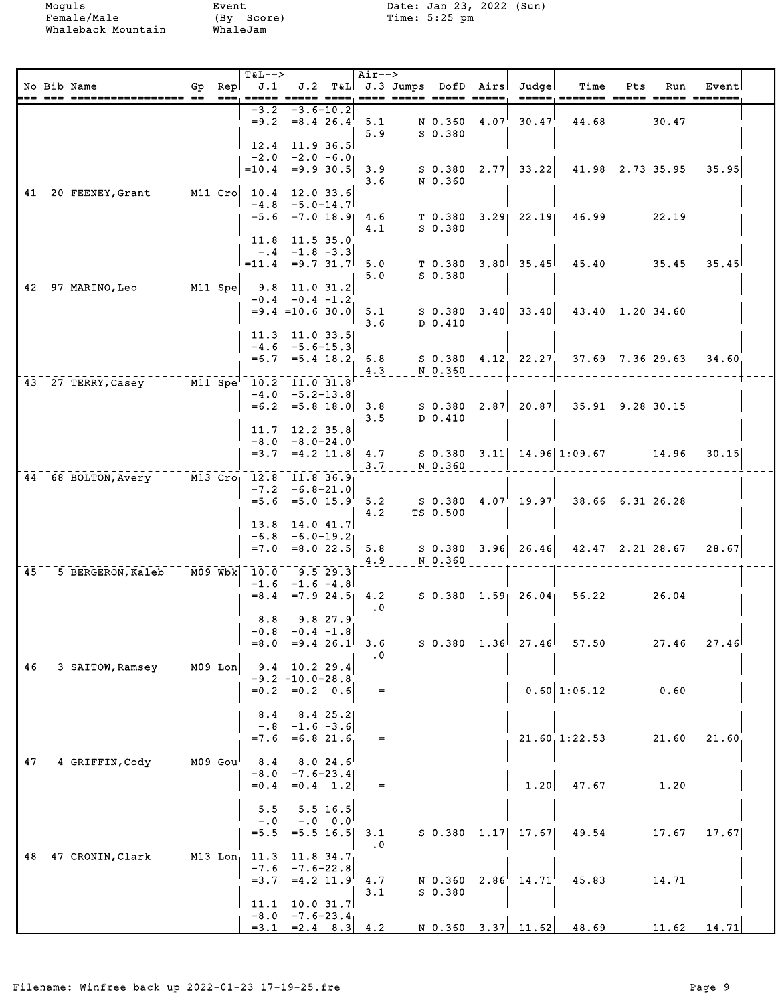Whaleback Mountain

Event<br>(By Score)<br>WhaleJam

Moguls Event Date: Jan 23, 2022 (Sun)<br>Female/Male (By Score) Time: 5:25 pm

|                 | No Bib Name                                                             |                      | $Gp$ Rep | <b>T&amp;L--&gt;</b><br>J.1                     |                                                      |                         | Air-->                       | ==== ===== ===== ===== | J.2 T&L J.3 Jumps DofD Airs Judge           | Time                                  | Pts | Run                  | Event         |  |
|-----------------|-------------------------------------------------------------------------|----------------------|----------|-------------------------------------------------|------------------------------------------------------|-------------------------|------------------------------|------------------------|---------------------------------------------|---------------------------------------|-----|----------------------|---------------|--|
|                 |                                                                         |                      |          | -3.2<br>12.4                                    | $= 9.2 = 8.426.4$<br>11.9 36.5                       | $-3.6 - 10.2$           | 5.1<br>5.9                   | $S$ 0.380              | $N$ 0.360 4.07 30.47                        | 44.68                                 |     | 30.47                |               |  |
|                 |                                                                         |                      |          | $-2.0 -2.0 -6.0$<br>$=10.4$ =9.9 30.5           |                                                      |                         | 3.9<br>3.6                   | N 0.360                | $S$ 0.380 2.77 33.22                        |                                       |     | $41.98$ $2.73$ 35.95 | 35.95         |  |
| 41              | 20 FEENEY, Grant M11 Cro 10.4 12.0 33.6                                 |                      |          |                                                 | $-4.8$ $-5.0$ -14.7<br>$=5.6 = 7.0 18.9$             |                         | 4.6<br>4.1                   | $S_0.380$              | $T$ 0.380 3.29 22.19                        | 46.99                                 |     | 22.19                |               |  |
|                 |                                                                         |                      |          | 11.8 11.5 35.0<br>$= 11.4 = 9.7 31.7$           | $-.4 -1.8 -3.3$                                      |                         | 5.0<br>5.0                   | T 0.380<br>$S$ 0.380   | $3.80^{+}$ 35.45                            | 45.40                                 |     | $\frac{1}{35.45}$    | 35.45         |  |
| 42              | $\overline{97}$ MARINO, Leo $\overline{97}$ MARINO, Leo $\overline{97}$ |                      |          | 9.8 11.0 31.2                                   | $-0.4 - 0.4 - 1.2$<br>$= 9.4 = 10.6$ 30.0            |                         | 5.1<br>3.6                   | D 0.410                |                                             | $S$ 0.380 3.40 33.40 43.40 1.20 34.60 |     |                      |               |  |
|                 |                                                                         |                      |          | 11.3 11.0 33.5<br>$-4.6 -5.6 - 15.3$<br>$= 6.7$ | $= 5.4$ 18.2                                         |                         | 6.8<br>4.3                   | N 0.360                | $S$ 0.380 4.12 22.27                        | $37.69$ $7.36$ , 29.63                |     |                      | 34.60         |  |
|                 | 43 27 TERRY, Casey M11 Spe 10.2 11.0 31.8                               |                      |          |                                                 | $-4.0 -5.2 - 13.8$<br>$=6.2$ $=5.8$ 18.0             |                         | 3.8<br>3.5                   | D 0.410                |                                             | $S$ 0.380 2.87 20.87 35.91 9.28 30.15 |     |                      |               |  |
|                 |                                                                         |                      |          | 11.7<br>$-8.0$                                  | $12.2$ $35.8$<br>$-8.0 - 24.0$<br>$=3.7$ $=4.2$ 11.8 |                         | 4.7<br>3.7                   | N 0.360                |                                             | $S$ 0.380 3.11 14.96 1:09.67          |     | $\vert$ 14.96        | 30.15         |  |
|                 | 44 68 BOLTON, Avery M13 Cro 12.8 11.8 36.9                              |                      |          | $-7.2$                                          | $-6.8 - 21.0$<br>$=5.6$ $=5.0$ $15.9$                |                         | 5.2<br>4.2                   | TS 0.500               | $S$ 0.380 $4.07^{\prime}$ 19.97 $^{\prime}$ | $38.66$ $6.31$ 26.28                  |     |                      |               |  |
|                 |                                                                         |                      |          | 13.8<br>$-6.8$<br>$= 7.0$                       | 14.0 41.7<br>$-6.0 - 19.2$<br>$= 8.0$ 22.5           |                         | 5.8<br>4.9                   | N 0.360                | $S$ 0.380 3.96 26.46                        | $42.47$ $2.21$ $28.67$                |     |                      | 28.67         |  |
| 45 <sup>1</sup> | 5 BERGERON, Kaleb                                                       | $M09$ Wbk            |          | 10.0<br>$-1.6$<br>$= 8.4$                       | 9.5 29.3<br>$-1.6 -4.8$                              |                         | $=7.9$ 24.5 4.2<br>$\cdot$ 0 |                        | $S$ 0.380 1.59 26.04                        | 56.22                                 |     | 126.04               |               |  |
|                 |                                                                         |                      |          | 8.8<br>$-0.8$<br>$=8.0$ $=9.4$ 26.1             | $-0.4 -1.8$                                          | 9.827.9                 | 3.6<br>$\cdot$ 0             |                        |                                             | $S$ 0.380 1.36 27.46 57.50            |     | 127.46               | 27.46         |  |
| 46              | 3 SAITOW, Ramsey                                                        | $\overline{MO9}$ Lon |          | $-9.4 - 10.2$ 29.4                              | $-9.2 -10.0 - 28.8$<br>$=0.2$ $=0.2$ 0.6             |                         | $=$                          |                        |                                             | $0.60 \mid 1:06.12$                   |     | 0.60                 |               |  |
|                 |                                                                         |                      |          | 8.4<br>$=7.6$ $=6.8$ 21.6                       | $-.8 - 1.6 - 3.6$                                    | 8.4 25.2                | $=$                          |                        |                                             | $21.60$ , $1:22.53$                   |     | 21.60                | 21.60         |  |
| 47 <sup>1</sup> | 4 GRIFFIN, Cody                                                         | $M09$ Gou            |          | $8.4$ $8.0$ 24.6                                | $-8.0 -7.6 - 23.4$<br>$=0.4$ $=0.4$ 1.2              |                         | $\qquad \qquad =$            |                        | 1.20                                        | 47.67                                 |     | 1.20                 |               |  |
|                 |                                                                         |                      |          | 5.5<br>$-0.0$<br>$= 5.5$                        | $=5.5$ 16.5                                          | 5.5 16.5<br>$-.0 \t0.0$ | 3.1<br>$\cdot$ 0             |                        | $S$ 0.380 1.17 17.67                        | 49.54                                 |     | 17.67                | 17.67         |  |
| 48 <sub>1</sub> | 47 CRONIN, Clark M13 Lon                                                |                      |          | 11.3 11.8 34.7<br>$= 3.7$                       | $-7.6 - 7.6 - 22.8$<br>$=4.2$ 11.9                   |                         | 4.7<br>3.1                   | $S$ 0.380              | N 0.360 2.86 14.71                          | 45.83                                 |     | 14.71                |               |  |
|                 |                                                                         |                      |          | $11.1$ 10.0 31.7<br>$-8.0 -7.6 - 23.4$          |                                                      |                         | $=3.1$ $=2.4$ $8.3$ $4.2$    |                        |                                             | $N$ 0.360 3.37 11.62 48.69            |     |                      | $11.62$ 14.71 |  |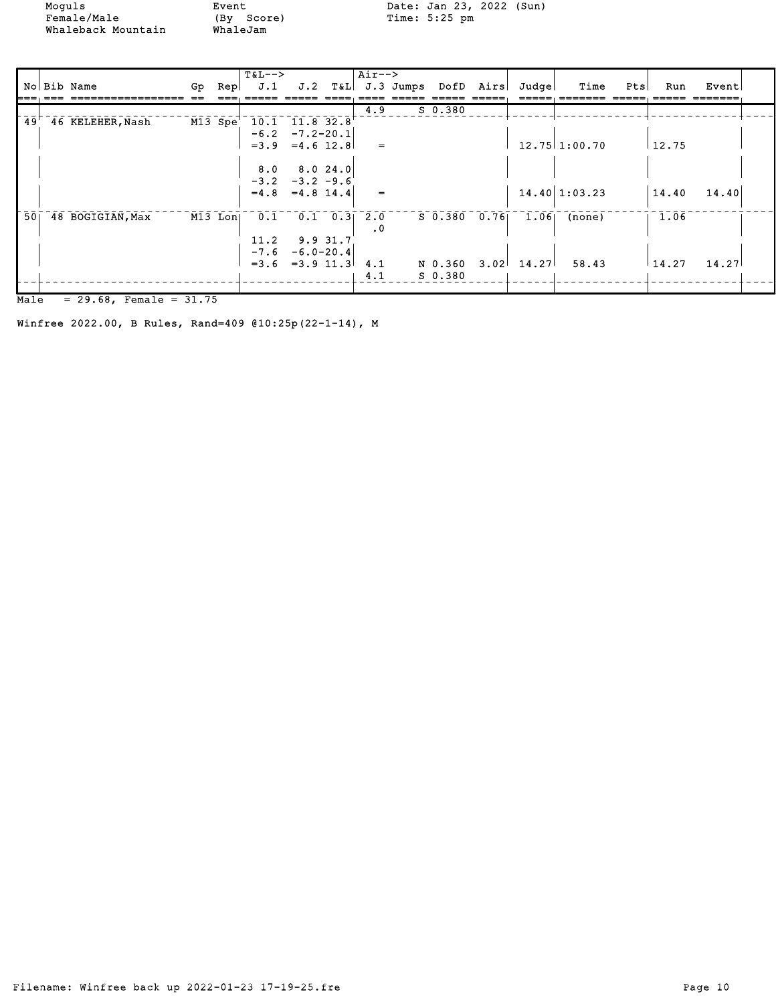Moguls Event Date: Jan 23, 2022 (Sun)

|                 |                  |           | $T\&L--\n$                                      |                      |          | $Air--$             |              |       |                            |     |               |       |  |
|-----------------|------------------|-----------|-------------------------------------------------|----------------------|----------|---------------------|--------------|-------|----------------------------|-----|---------------|-------|--|
|                 | No Bib Name      |           | Gp $\text{Rep}$ J.1 J.2 T&L J.3 Jumps DofD Airs |                      |          |                     |              | Judge | Time                       | Pts | Run           | Event |  |
|                 |                  |           |                                                 |                      |          |                     |              |       |                            |     |               |       |  |
|                 |                  |           |                                                 |                      |          | 4.9                 | $S$ 0.380    |       |                            |     |               |       |  |
| 49'             | 46 KELEHER, Nash | M13 Spe   |                                                 | $10.1$ $11.8$ $32.8$ |          |                     |              |       |                            |     |               |       |  |
|                 |                  |           |                                                 | $-6.2 -7.2 - 20.1$   |          |                     |              |       |                            |     |               |       |  |
|                 |                  |           |                                                 | $=3.9$ $=4.6$ 12.8   |          | $=$                 |              |       | $12.75$ 1:00.70            |     | 12.75         |       |  |
|                 |                  |           |                                                 |                      |          |                     |              |       |                            |     |               |       |  |
|                 |                  |           | 8.0                                             |                      | 8.024.0  |                     |              |       |                            |     |               |       |  |
|                 |                  |           |                                                 | $-3.2 -3.2 -9.6$     |          |                     |              |       |                            |     |               |       |  |
|                 |                  |           |                                                 | $=4.8$ $=4.8$ 14.4   |          | $=$                 |              |       | $14.40 \mid 1:03.23$       |     | 14.40         | 14.40 |  |
|                 |                  |           |                                                 |                      |          |                     |              |       |                            |     |               |       |  |
| 50 <sub>1</sub> | 48 BOGIGIAN, Max | $M13$ Lon | 0.1                                             |                      |          | $0.1 \quad 0.3$ 2.0 | S 0.380 0.76 |       | $1.06$ (none)              |     | 1.06          |       |  |
|                 |                  |           |                                                 |                      |          | $\cdot$ 0           |              |       |                            |     |               |       |  |
|                 |                  |           | 11.2                                            |                      | 9.9 31.7 |                     |              |       |                            |     |               |       |  |
|                 |                  |           | $-7.6$                                          | $-6.0 - 20.4$        |          |                     |              |       |                            |     |               |       |  |
|                 |                  |           | $= 3.6$                                         | $=3.9$ 11.3 4.1      |          |                     |              |       | $N$ 0.360 3.02 14.27 58.43 |     | $\vert$ 14.27 | 14.27 |  |
|                 |                  |           |                                                 |                      |          | 4.1                 | S 0.380      |       |                            |     |               |       |  |
|                 |                  |           |                                                 |                      |          |                     |              |       |                            |     |               |       |  |

Male = 29.68, Female = 31.75

Winfree 2022.00, B Rules, Rand=409 @10:25p(22-1-14), M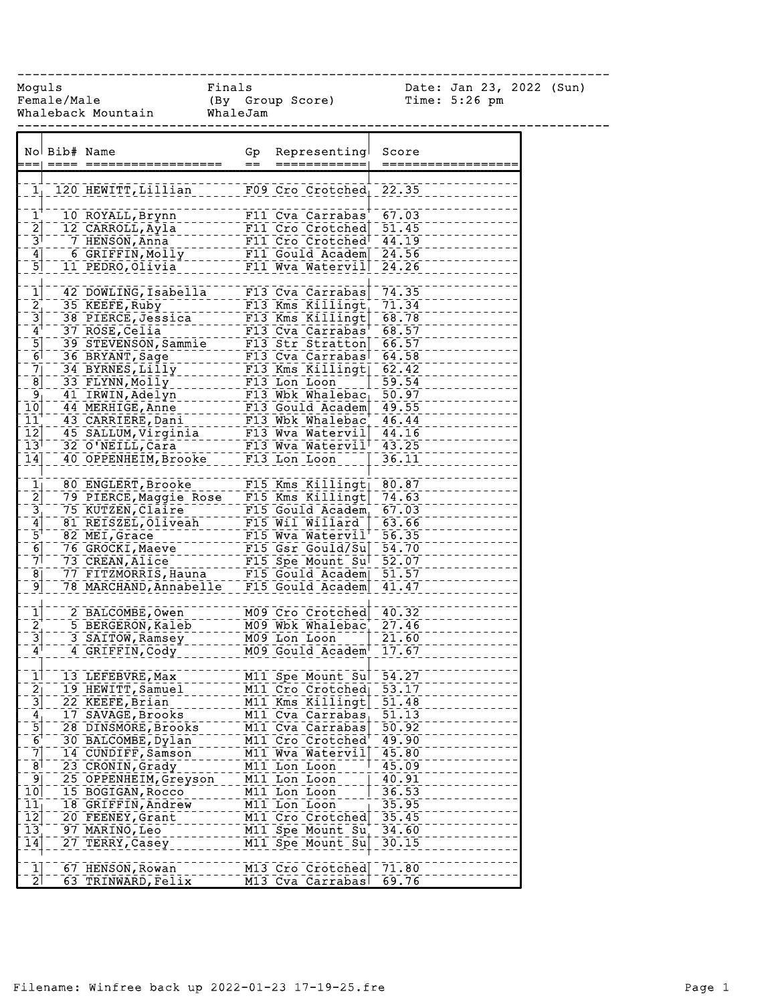------------------------------------------------------------------------------

Female/Male (By Group Score) Time: 5:26 pm Whaleback Mountain WhaleJam

Moguls Finals Date: Jan 23, 2022 (Sun)

|                                                                                   | No Bib# Name |                                                  | Gp  | Representing                        | Score              |
|-----------------------------------------------------------------------------------|--------------|--------------------------------------------------|-----|-------------------------------------|--------------------|
|                                                                                   |              |                                                  | $=$ | ============                        |                    |
|                                                                                   |              |                                                  |     |                                     |                    |
| $\mathbf{1}_1$                                                                    |              | 120 HEWITT, LIllian                              |     | F09 Cro Crotched                    | 22.35              |
|                                                                                   |              |                                                  |     |                                     |                    |
| $\mathbf{\bar{1}}^{\mathbf{\dagger}}$                                             |              | 10 ROYALL, Brynn                                 |     | F11 Cva Carrabas                    | 67.03              |
| $\overline{2}$                                                                    |              | 12 CARROLL, Ayla                                 |     | F11 Cro Crotched                    | 51.45              |
| $\frac{1}{3}$                                                                     |              | 7 HENSON, Anna                                   |     | F11 Cro Crotched 144.19             |                    |
| $\begin{array}{c} 4 \\ -5 \end{array}$                                            |              | 6 GRIFFIN, Molly________                         |     | F11 Gould Academ                    | 24.56              |
|                                                                                   |              | 11 PEDRO, Olivia                                 |     | F11 Wva Watervil                    | 24.26              |
|                                                                                   |              |                                                  |     |                                     |                    |
| $\begin{array}{c}\n\boxed{1} \\ \boxed{2} \\ \boxed{3} \\ \boxed{4}\n\end{array}$ |              | 42 DOWLING, Isabella                             |     | $F13$ Cva Carrabas                  | 74.35              |
|                                                                                   |              | 35 KEEFE, Ruby ___________                       |     | $F13$ Kms Killingt                  | 71.34              |
|                                                                                   |              | 38 PIERCE, Jessica 1997 E13 Kms Killingt         |     |                                     | 68.78              |
|                                                                                   |              | 37 ROSE, Celia                                   |     | $F13$ Cva Carrabas <sup>T</sup>     | 68.57              |
|                                                                                   |              | 39 STEVENSON, Sammie F13 Str Stratton            |     |                                     | 66.57              |
| $\begin{bmatrix} 5 \\ 6 \end{bmatrix}$                                            |              | 36 BRYANT, Sage                                  |     | F13 Cva Carrabas                    | 64.58              |
|                                                                                   |              | 34 BYRNES, LIIIY _________                       |     | $F13$ Kms Killingt                  | 62.42              |
| $\begin{bmatrix} -\frac{5}{7} \\ -\frac{8}{9} \\ -\frac{9}{10} \end{bmatrix}$     |              | 33 FLYNN, Molly 2000 F13 Lon Loon 2000 59.54     |     |                                     |                    |
|                                                                                   |              | 41 IRWIN, Adelyn                                 |     | F13 Wbk Whalebac                    | $\overline{50.97}$ |
|                                                                                   |              | 44 MERHIGE, Anne                                 |     | F13 Gould Academ                    | 49.55              |
|                                                                                   |              | 43 CARRIERE, Dani                                |     |                                     |                    |
| 11                                                                                |              |                                                  |     | F13 Wbk Whalebac'                   | 46.44              |
| $\overline{1}\overline{2}$                                                        |              | 45 SALLUM, Virginia _____ F13 Wva Watervil 44.16 |     |                                     |                    |
| $\overline{1}3$ <sup><math>\overline{1}</math></sup>                              |              | 32 O'NEILL, Cara                                 |     | F13 Wva Watervil <sup>!</sup>       | $-43.25$           |
| 14                                                                                |              | 40 OPPENHEIM, Brooke                             |     | F13 Lon Loon                        | 36.11              |
|                                                                                   |              |                                                  |     |                                     |                    |
|                                                                                   |              |                                                  |     |                                     |                    |
|                                                                                   |              | 79 PIERCE, Maggie Rose F15 Kms Killingt          |     |                                     | 74.63              |
| $\frac{1}{2}$ $\frac{3}{4}$ $\frac{4}{5}$ $\frac{1}{6}$ $\frac{1}{7}$             |              |                                                  |     |                                     | 67.03              |
|                                                                                   |              |                                                  |     |                                     | 63.66              |
|                                                                                   |              |                                                  |     |                                     | 56.35              |
|                                                                                   |              |                                                  |     |                                     |                    |
|                                                                                   |              |                                                  |     |                                     |                    |
| $\bar{8}$                                                                         |              |                                                  |     |                                     |                    |
| $\left[ 9\right]$                                                                 |              |                                                  |     |                                     |                    |
|                                                                                   |              |                                                  |     |                                     |                    |
| $\begin{bmatrix} 1 \\ 2 \\ 3 \end{bmatrix}$                                       |              | 2 BALCOMBE, Owen                                 |     | M09 Cro Crotched 40.32              |                    |
|                                                                                   |              | 5 BERGERON, Kaleb _____ M09 Wbk Whalebac         |     |                                     | 27.46              |
|                                                                                   |              | 3 SAITOW, Ramsey                                 |     | M09 Lon Loon                        | 21.60              |
| $\mathbf{A}^{\dagger}$                                                            |              | 4 GRIFFIN, Cody                                  |     | M09 Gould Academ <sup>+-17.67</sup> |                    |
|                                                                                   |              |                                                  |     |                                     |                    |
| $\mathbf{\bar{1}}$                                                                |              | 13 LEFEBVRE, Max                                 |     | M11 Spe Mount Sul 54.27             |                    |
|                                                                                   |              | 19 HEWITT, Samuel                                |     | M11 Cro Crotched 53.17              |                    |
| $\frac{2}{3}$                                                                     |              | 22 KEEFE, Brian                                  |     | M11 Kms Killingt                    | 51.48              |
|                                                                                   |              | 17 SAVAGE, Brooks                                |     | M11 Cva Carrabas                    | 51.13              |
| $\frac{4}{6}$                                                                     |              | 28 DINSMORE, Brooks                              |     | M11 Cva Carrabas                    | $\overline{50.92}$ |
|                                                                                   |              | 30 BALCOMBE, Dylan                               |     | M11 Cro Crotched                    | 49.90              |
| $\overline{7}$                                                                    |              |                                                  |     |                                     |                    |
|                                                                                   |              | 14 CUNDIFF, Samson                               |     | M11 Wva Watervil                    | 45.80              |
| $\overline{8}$                                                                    |              | 23 CRONIN, Grady                                 |     | M11 Lon Loon                        | 45.09              |
| $\overline{9}$                                                                    |              | 25 OPPENHEIM, Greyson                            |     | M11 Lon Loon                        | 40.91              |
| 10                                                                                |              | 15 BOGIGAN, Rocco                                |     | M11 Lon Loon                        | 36.53              |
| 11                                                                                |              | 18 GRIFFIN, Andrew                               |     | M11 Lon Loon                        | 35.95              |
| $\overline{1}\overline{2}$                                                        |              | 20 FEENEY, Grant                                 |     | M11 Cro Crotched                    | 35.45              |
| $\overline{13}$                                                                   |              | 97 MARINO, Leo                                   |     | M11 Spe Mount Su                    | 34.60              |
| $\overline{1}\overline{4}$                                                        |              | 27 TERRY, Casey                                  |     | M11 Spe Mount Su                    | 30.15              |
|                                                                                   |              |                                                  |     |                                     |                    |
| $\frac{1}{2}$                                                                     |              | 67 HENSON, Rowan                                 |     | M13 Cro Crotched                    | 71.80              |
|                                                                                   |              | 63 TRINWARD, Felix                               |     | M13 Cva Carrabas                    | 69.76              |
|                                                                                   |              |                                                  |     |                                     |                    |